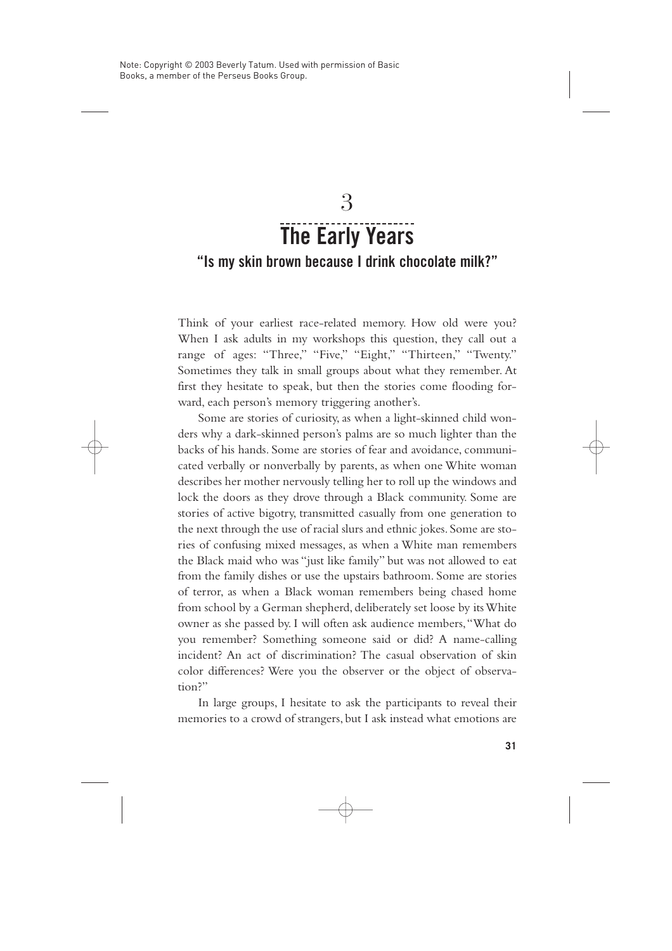# 3 **The Early Years "Is my skin brown because I drink chocolate milk?"**

Think of your earliest race-related memory. How old were you? When I ask adults in my workshops this question, they call out a range of ages: "Three," "Five," "Eight," "Thirteen," "Twenty." Sometimes they talk in small groups about what they remember. At first they hesitate to speak, but then the stories come flooding forward, each person's memory triggering another's.

Some are stories of curiosity, as when a light-skinned child wonders why a dark-skinned person's palms are so much lighter than the backs of his hands. Some are stories of fear and avoidance, communicated verbally or nonverbally by parents, as when one White woman describes her mother nervously telling her to roll up the windows and lock the doors as they drove through a Black community. Some are stories of active bigotry, transmitted casually from one generation to the next through the use of racial slurs and ethnic jokes. Some are stories of confusing mixed messages, as when a White man remembers the Black maid who was "just like family" but was not allowed to eat from the family dishes or use the upstairs bathroom. Some are stories of terror, as when a Black woman remembers being chased home from school by a German shepherd, deliberately set loose by its White owner as she passed by. I will often ask audience members,"What do you remember? Something someone said or did? A name-calling incident? An act of discrimination? The casual observation of skin color differences? Were you the observer or the object of observation?"

In large groups, I hesitate to ask the participants to reveal their memories to a crowd of strangers, but I ask instead what emotions are

**31**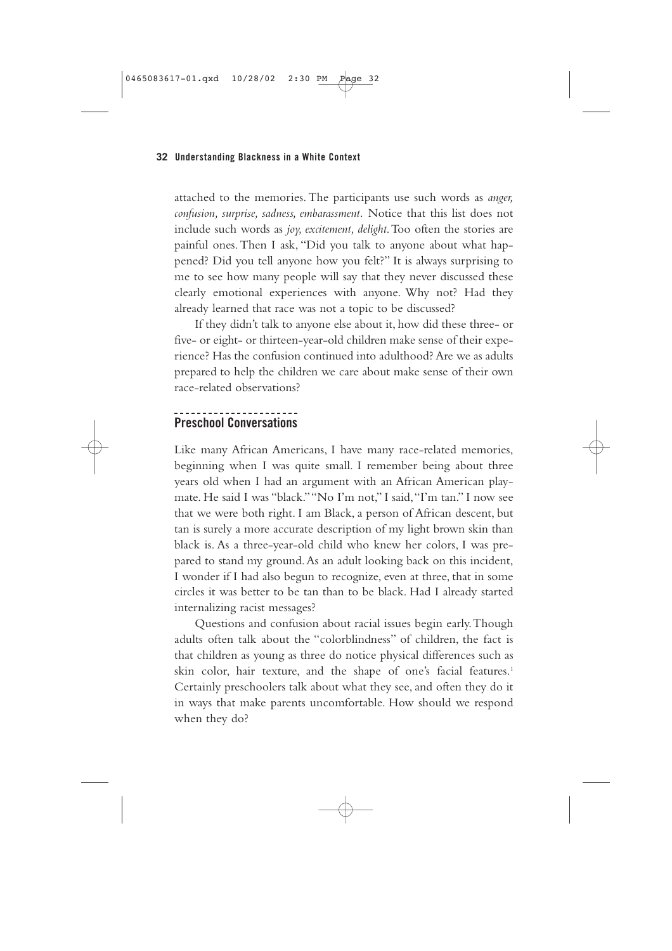attached to the memories. The participants use such words as *anger, confusion, surprise, sadness, embarassment.* Notice that this list does not include such words as *joy, excitement, delight*.Too often the stories are painful ones. Then I ask, "Did you talk to anyone about what happened? Did you tell anyone how you felt?" It is always surprising to me to see how many people will say that they never discussed these clearly emotional experiences with anyone. Why not? Had they already learned that race was not a topic to be discussed?

If they didn't talk to anyone else about it, how did these three- or five- or eight- or thirteen-year-old children make sense of their experience? Has the confusion continued into adulthood? Are we as adults prepared to help the children we care about make sense of their own race-related observations?

### **Preschool Conversations**

Like many African Americans, I have many race-related memories, beginning when I was quite small. I remember being about three years old when I had an argument with an African American playmate. He said I was "black.""No I'm not," I said,"I'm tan." I now see that we were both right. I am Black, a person of African descent, but tan is surely a more accurate description of my light brown skin than black is. As a three-year-old child who knew her colors, I was prepared to stand my ground.As an adult looking back on this incident, I wonder if I had also begun to recognize, even at three, that in some circles it was better to be tan than to be black. Had I already started internalizing racist messages?

Questions and confusion about racial issues begin early.Though adults often talk about the "colorblindness" of children, the fact is that children as young as three do notice physical differences such as skin color, hair texture, and the shape of one's facial features.<sup>1</sup> Certainly preschoolers talk about what they see, and often they do it in ways that make parents uncomfortable. How should we respond when they do?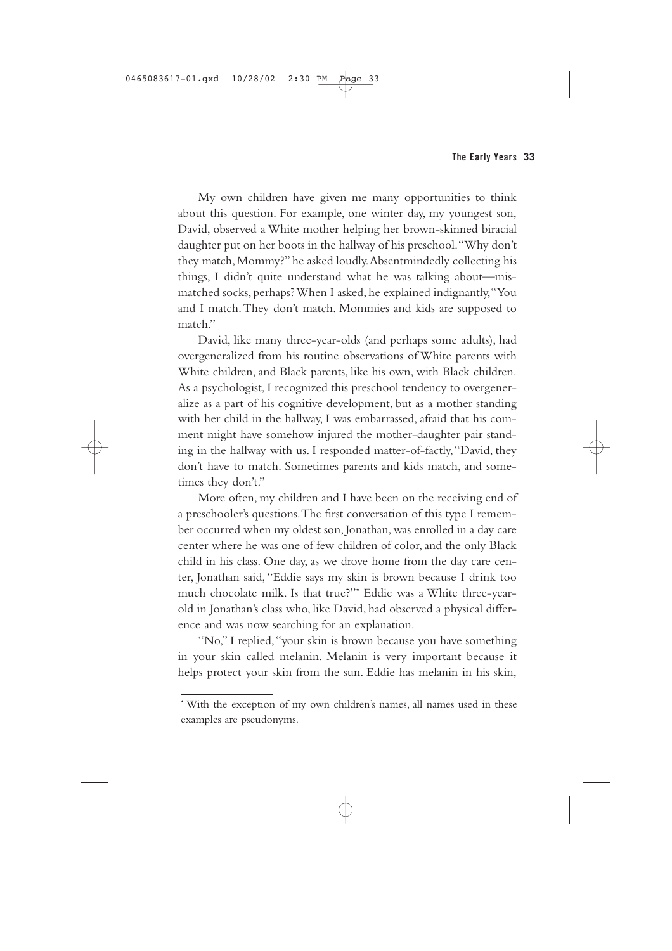$0465083617 - 01.$ qxd  $10/28/02$  2:30

#### **The Early Years 33**

My own children have given me many opportunities to think about this question. For example, one winter day, my youngest son, David, observed a White mother helping her brown-skinned biracial daughter put on her boots in the hallway of his preschool."Why don't they match, Mommy?" he asked loudly. Absentmindedly collecting his things, I didn't quite understand what he was talking about—mismatched socks, perhaps? When I asked, he explained indignantly,"You and I match.They don't match. Mommies and kids are supposed to match."

David, like many three-year-olds (and perhaps some adults), had overgeneralized from his routine observations of White parents with White children, and Black parents, like his own, with Black children. As a psychologist, I recognized this preschool tendency to overgeneralize as a part of his cognitive development, but as a mother standing with her child in the hallway, I was embarrassed, afraid that his comment might have somehow injured the mother-daughter pair standing in the hallway with us. I responded matter-of-factly,"David, they don't have to match. Sometimes parents and kids match, and sometimes they don't."

More often, my children and I have been on the receiving end of a preschooler's questions.The first conversation of this type I remember occurred when my oldest son, Jonathan, was enrolled in a day care center where he was one of few children of color, and the only Black child in his class. One day, as we drove home from the day care center, Jonathan said, "Eddie says my skin is brown because I drink too much chocolate milk. Is that true?"\* Eddie was a White three-yearold in Jonathan's class who, like David, had observed a physical difference and was now searching for an explanation.

"No," I replied,"your skin is brown because you have something in your skin called melanin. Melanin is very important because it helps protect your skin from the sun. Eddie has melanin in his skin,

<sup>\*</sup> With the exception of my own children's names, all names used in these examples are pseudonyms.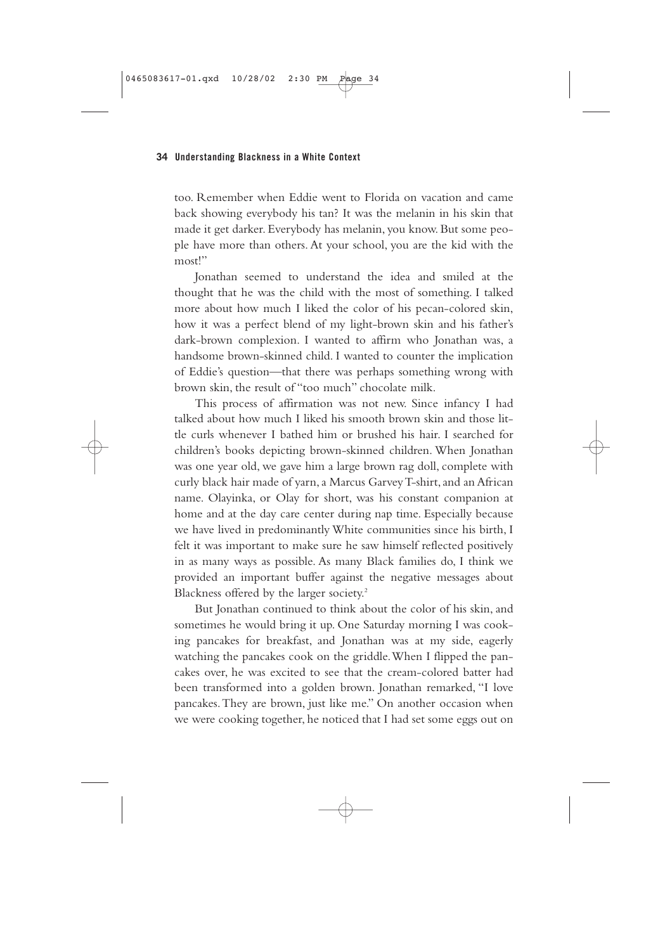too. Remember when Eddie went to Florida on vacation and came back showing everybody his tan? It was the melanin in his skin that made it get darker. Everybody has melanin, you know. But some people have more than others. At your school, you are the kid with the most!"

Jonathan seemed to understand the idea and smiled at the thought that he was the child with the most of something. I talked more about how much I liked the color of his pecan-colored skin, how it was a perfect blend of my light-brown skin and his father's dark-brown complexion. I wanted to affirm who Jonathan was, a handsome brown-skinned child. I wanted to counter the implication of Eddie's question—that there was perhaps something wrong with brown skin, the result of "too much" chocolate milk.

This process of affirmation was not new. Since infancy I had talked about how much I liked his smooth brown skin and those little curls whenever I bathed him or brushed his hair. I searched for children's books depicting brown-skinned children. When Jonathan was one year old, we gave him a large brown rag doll, complete with curly black hair made of yarn, a Marcus Garvey T-shirt, and an African name. Olayinka, or Olay for short, was his constant companion at home and at the day care center during nap time. Especially because we have lived in predominantly White communities since his birth, I felt it was important to make sure he saw himself reflected positively in as many ways as possible. As many Black families do, I think we provided an important buffer against the negative messages about Blackness offered by the larger society.<sup>2</sup>

But Jonathan continued to think about the color of his skin, and sometimes he would bring it up. One Saturday morning I was cooking pancakes for breakfast, and Jonathan was at my side, eagerly watching the pancakes cook on the griddle.When I flipped the pancakes over, he was excited to see that the cream-colored batter had been transformed into a golden brown. Jonathan remarked, "I love pancakes.They are brown, just like me." On another occasion when we were cooking together, he noticed that I had set some eggs out on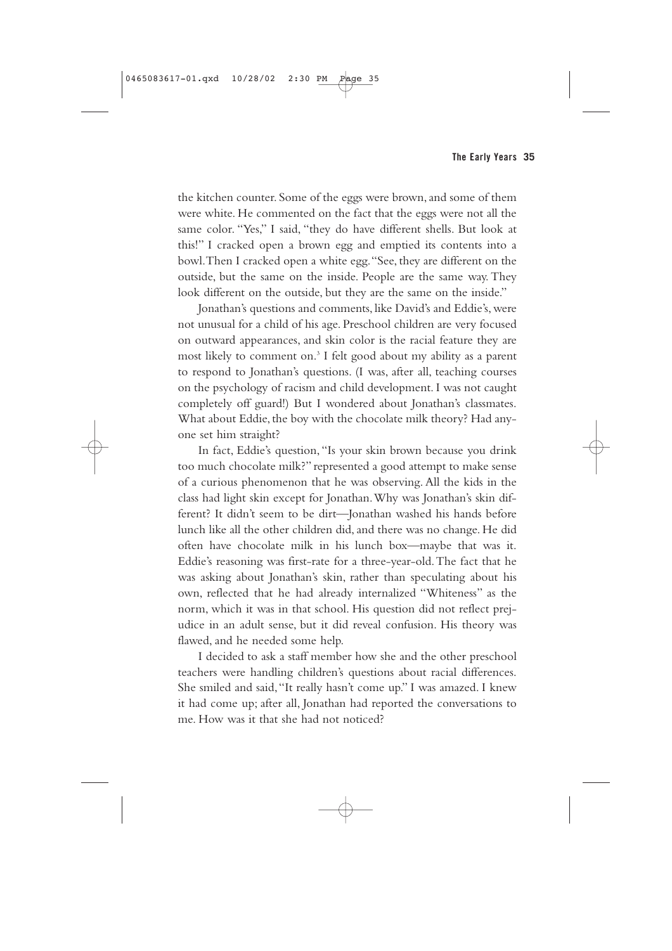#### **The Early Years 35**

the kitchen counter. Some of the eggs were brown, and some of them were white. He commented on the fact that the eggs were not all the same color. "Yes," I said, "they do have different shells. But look at this!" I cracked open a brown egg and emptied its contents into a bowl.Then I cracked open a white egg."See, they are different on the outside, but the same on the inside. People are the same way. They look different on the outside, but they are the same on the inside."

Jonathan's questions and comments, like David's and Eddie's, were not unusual for a child of his age. Preschool children are very focused on outward appearances, and skin color is the racial feature they are most likely to comment on.<sup>3</sup> I felt good about my ability as a parent to respond to Jonathan's questions. (I was, after all, teaching courses on the psychology of racism and child development. I was not caught completely off guard!) But I wondered about Jonathan's classmates. What about Eddie, the boy with the chocolate milk theory? Had anyone set him straight?

In fact, Eddie's question,"Is your skin brown because you drink too much chocolate milk?" represented a good attempt to make sense of a curious phenomenon that he was observing. All the kids in the class had light skin except for Jonathan.Why was Jonathan's skin different? It didn't seem to be dirt—Jonathan washed his hands before lunch like all the other children did, and there was no change. He did often have chocolate milk in his lunch box—maybe that was it. Eddie's reasoning was first-rate for a three-year-old.The fact that he was asking about Jonathan's skin, rather than speculating about his own, reflected that he had already internalized "Whiteness" as the norm, which it was in that school. His question did not reflect prejudice in an adult sense, but it did reveal confusion. His theory was flawed, and he needed some help.

I decided to ask a staff member how she and the other preschool teachers were handling children's questions about racial differences. She smiled and said,"It really hasn't come up." I was amazed. I knew it had come up; after all, Jonathan had reported the conversations to me. How was it that she had not noticed?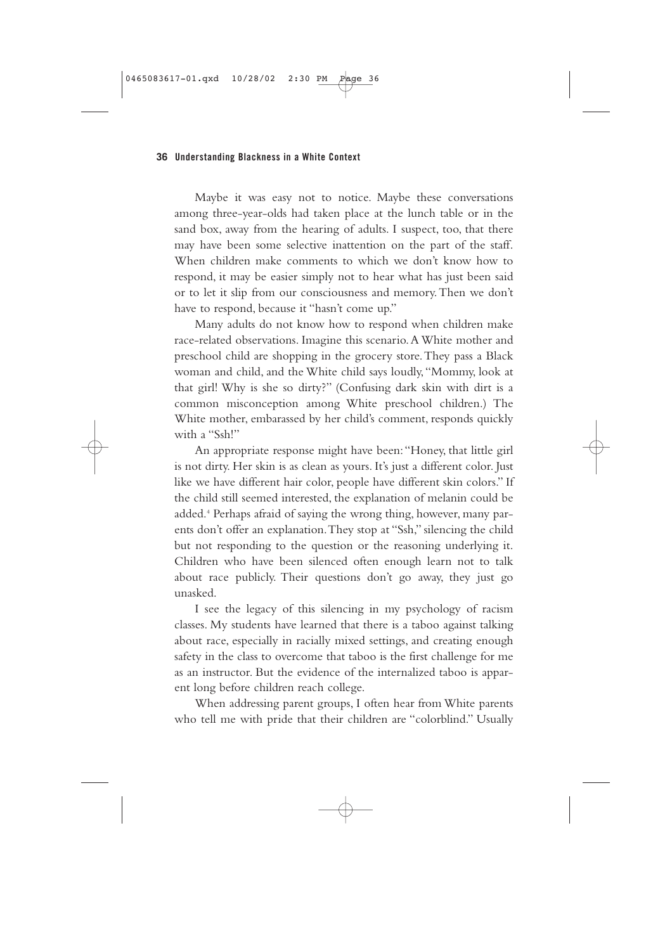Maybe it was easy not to notice. Maybe these conversations among three-year-olds had taken place at the lunch table or in the sand box, away from the hearing of adults. I suspect, too, that there may have been some selective inattention on the part of the staff. When children make comments to which we don't know how to respond, it may be easier simply not to hear what has just been said or to let it slip from our consciousness and memory.Then we don't have to respond, because it "hasn't come up."

Many adults do not know how to respond when children make race-related observations. Imagine this scenario.A White mother and preschool child are shopping in the grocery store.They pass a Black woman and child, and the White child says loudly,"Mommy, look at that girl! Why is she so dirty?" (Confusing dark skin with dirt is a common misconception among White preschool children.) The White mother, embarassed by her child's comment, responds quickly with a "Ssh!"

An appropriate response might have been:"Honey, that little girl is not dirty. Her skin is as clean as yours. It's just a different color. Just like we have different hair color, people have different skin colors." If the child still seemed interested, the explanation of melanin could be added.<sup>4</sup> Perhaps afraid of saying the wrong thing, however, many parents don't offer an explanation.They stop at "Ssh," silencing the child but not responding to the question or the reasoning underlying it. Children who have been silenced often enough learn not to talk about race publicly. Their questions don't go away, they just go unasked.

I see the legacy of this silencing in my psychology of racism classes. My students have learned that there is a taboo against talking about race, especially in racially mixed settings, and creating enough safety in the class to overcome that taboo is the first challenge for me as an instructor. But the evidence of the internalized taboo is apparent long before children reach college.

When addressing parent groups, I often hear from White parents who tell me with pride that their children are "colorblind." Usually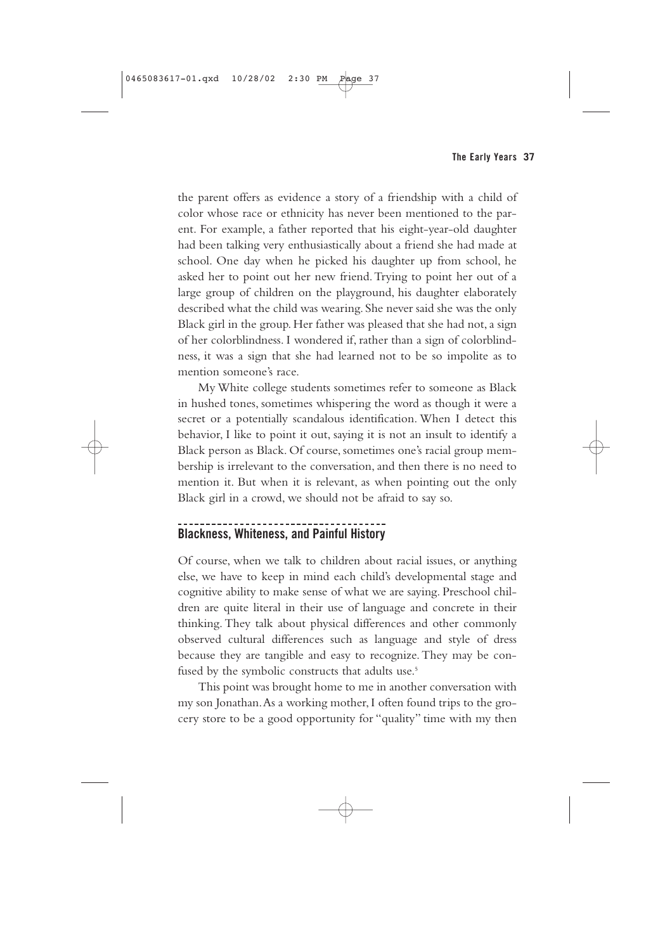0465083617-01.qxd 10/28/02 2:30

#### **The Early Years 37**

the parent offers as evidence a story of a friendship with a child of color whose race or ethnicity has never been mentioned to the parent. For example, a father reported that his eight-year-old daughter had been talking very enthusiastically about a friend she had made at school. One day when he picked his daughter up from school, he asked her to point out her new friend.Trying to point her out of a large group of children on the playground, his daughter elaborately described what the child was wearing. She never said she was the only Black girl in the group. Her father was pleased that she had not, a sign of her colorblindness. I wondered if, rather than a sign of colorblindness, it was a sign that she had learned not to be so impolite as to mention someone's race.

My White college students sometimes refer to someone as Black in hushed tones, sometimes whispering the word as though it were a secret or a potentially scandalous identification. When I detect this behavior, I like to point it out, saying it is not an insult to identify a Black person as Black. Of course, sometimes one's racial group membership is irrelevant to the conversation, and then there is no need to mention it. But when it is relevant, as when pointing out the only Black girl in a crowd, we should not be afraid to say so.

## **Blackness, Whiteness, and Painful History**

Of course, when we talk to children about racial issues, or anything else, we have to keep in mind each child's developmental stage and cognitive ability to make sense of what we are saying. Preschool children are quite literal in their use of language and concrete in their thinking. They talk about physical differences and other commonly observed cultural differences such as language and style of dress because they are tangible and easy to recognize. They may be confused by the symbolic constructs that adults use.<sup>5</sup>

This point was brought home to me in another conversation with my son Jonathan.As a working mother, I often found trips to the grocery store to be a good opportunity for "quality" time with my then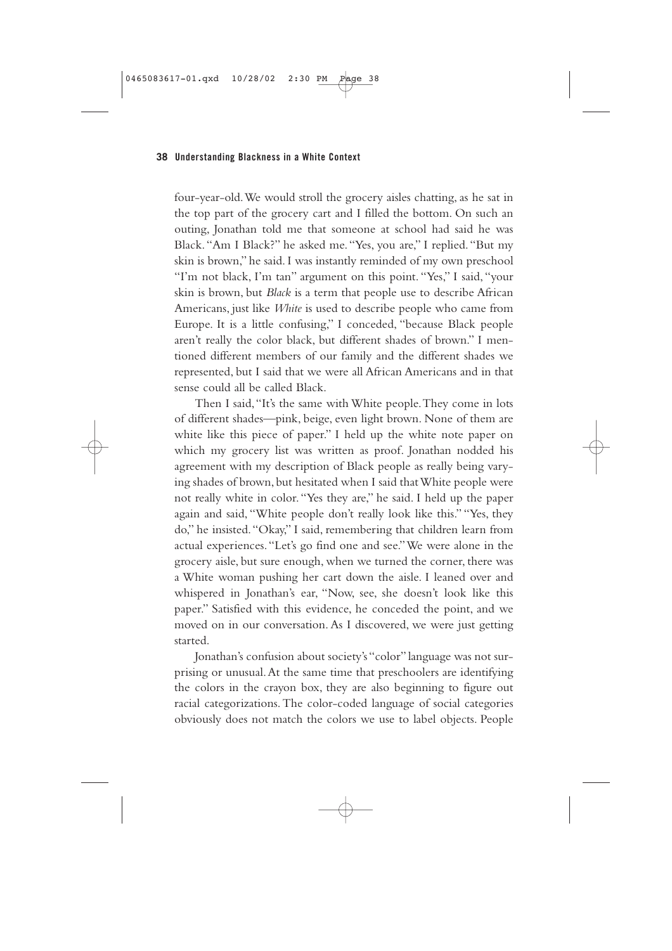four-year-old.We would stroll the grocery aisles chatting, as he sat in the top part of the grocery cart and I filled the bottom. On such an outing, Jonathan told me that someone at school had said he was Black."Am I Black?" he asked me."Yes, you are," I replied."But my skin is brown," he said. I was instantly reminded of my own preschool "I'm not black, I'm tan" argument on this point. "Yes," I said, "your skin is brown, but *Black* is a term that people use to describe African Americans, just like *White* is used to describe people who came from Europe. It is a little confusing," I conceded, "because Black people aren't really the color black, but different shades of brown." I mentioned different members of our family and the different shades we represented, but I said that we were all African Americans and in that sense could all be called Black.

Then I said, "It's the same with White people. They come in lots of different shades—pink, beige, even light brown. None of them are white like this piece of paper." I held up the white note paper on which my grocery list was written as proof. Jonathan nodded his agreement with my description of Black people as really being varying shades of brown, but hesitated when I said that White people were not really white in color."Yes they are," he said. I held up the paper again and said, "White people don't really look like this." "Yes, they do," he insisted."Okay," I said, remembering that children learn from actual experiences."Let's go find one and see."We were alone in the grocery aisle, but sure enough, when we turned the corner, there was a White woman pushing her cart down the aisle. I leaned over and whispered in Jonathan's ear, "Now, see, she doesn't look like this paper." Satisfied with this evidence, he conceded the point, and we moved on in our conversation. As I discovered, we were just getting started.

Jonathan's confusion about society's "color" language was not surprising or unusual.At the same time that preschoolers are identifying the colors in the crayon box, they are also beginning to figure out racial categorizations.The color-coded language of social categories obviously does not match the colors we use to label objects. People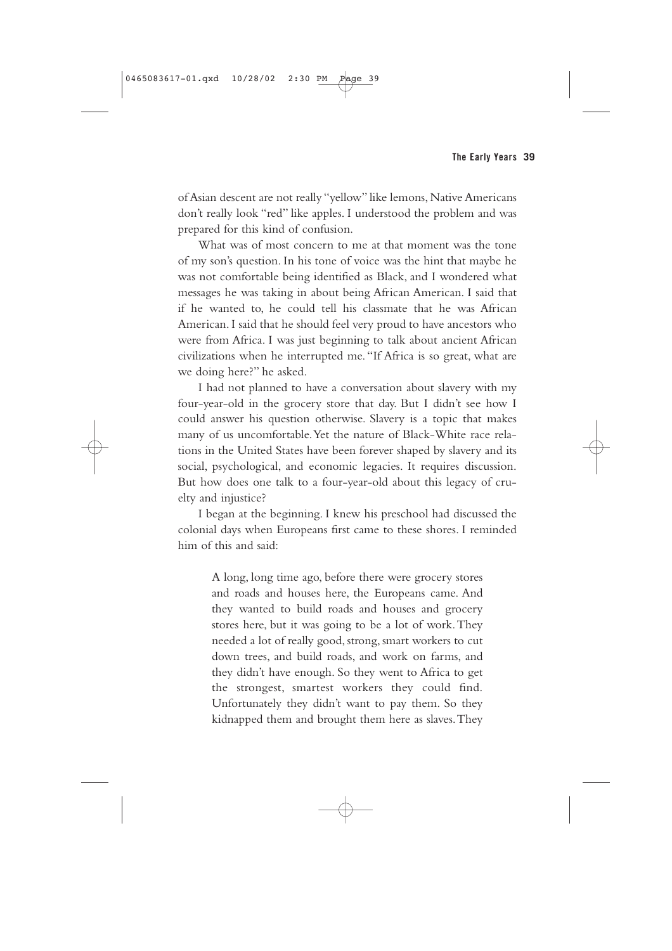**The Early Years 39**

of Asian descent are not really "yellow" like lemons, Native Americans don't really look "red" like apples. I understood the problem and was prepared for this kind of confusion.

What was of most concern to me at that moment was the tone of my son's question. In his tone of voice was the hint that maybe he was not comfortable being identified as Black, and I wondered what messages he was taking in about being African American. I said that if he wanted to, he could tell his classmate that he was African American. I said that he should feel very proud to have ancestors who were from Africa. I was just beginning to talk about ancient African civilizations when he interrupted me. "If Africa is so great, what are we doing here?" he asked.

I had not planned to have a conversation about slavery with my four-year-old in the grocery store that day. But I didn't see how I could answer his question otherwise. Slavery is a topic that makes many of us uncomfortable.Yet the nature of Black-White race relations in the United States have been forever shaped by slavery and its social, psychological, and economic legacies. It requires discussion. But how does one talk to a four-year-old about this legacy of cruelty and injustice?

I began at the beginning. I knew his preschool had discussed the colonial days when Europeans first came to these shores. I reminded him of this and said:

A long, long time ago, before there were grocery stores and roads and houses here, the Europeans came. And they wanted to build roads and houses and grocery stores here, but it was going to be a lot of work.They needed a lot of really good, strong, smart workers to cut down trees, and build roads, and work on farms, and they didn't have enough. So they went to Africa to get the strongest, smartest workers they could find. Unfortunately they didn't want to pay them. So they kidnapped them and brought them here as slaves.They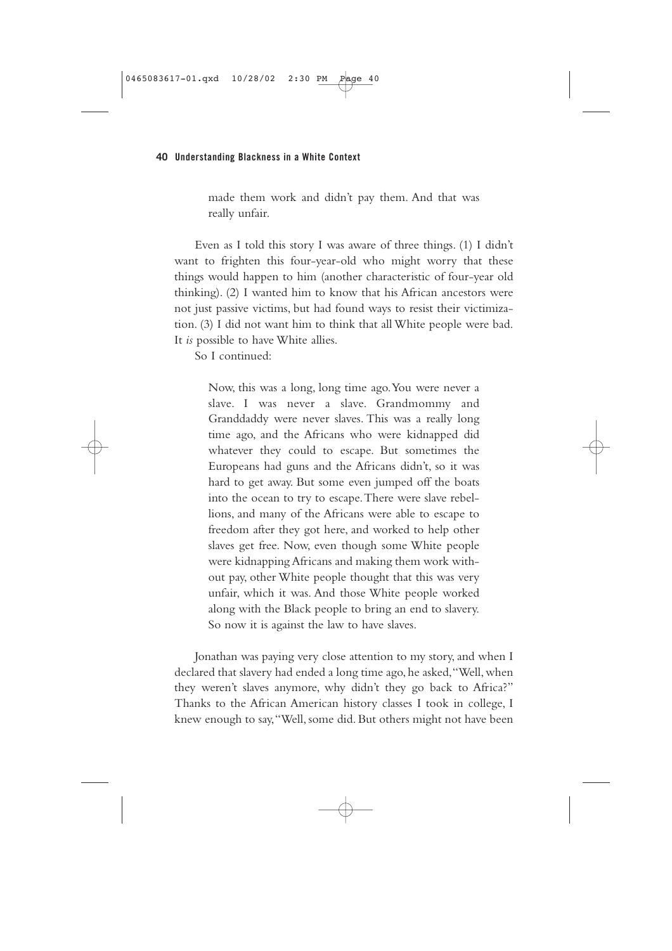made them work and didn't pay them. And that was really unfair.

Even as I told this story I was aware of three things. (1) I didn't want to frighten this four-year-old who might worry that these things would happen to him (another characteristic of four-year old thinking). (2) I wanted him to know that his African ancestors were not just passive victims, but had found ways to resist their victimization. (3) I did not want him to think that all White people were bad. It *is* possible to have White allies.

So I continued:

Now, this was a long, long time ago.You were never a slave. I was never a slave. Grandmommy and Granddaddy were never slaves. This was a really long time ago, and the Africans who were kidnapped did whatever they could to escape. But sometimes the Europeans had guns and the Africans didn't, so it was hard to get away. But some even jumped off the boats into the ocean to try to escape.There were slave rebellions, and many of the Africans were able to escape to freedom after they got here, and worked to help other slaves get free. Now, even though some White people were kidnapping Africans and making them work without pay, other White people thought that this was very unfair, which it was. And those White people worked along with the Black people to bring an end to slavery. So now it is against the law to have slaves.

Jonathan was paying very close attention to my story, and when I declared that slavery had ended a long time ago, he asked,"Well, when they weren't slaves anymore, why didn't they go back to Africa?" Thanks to the African American history classes I took in college, I knew enough to say,"Well, some did. But others might not have been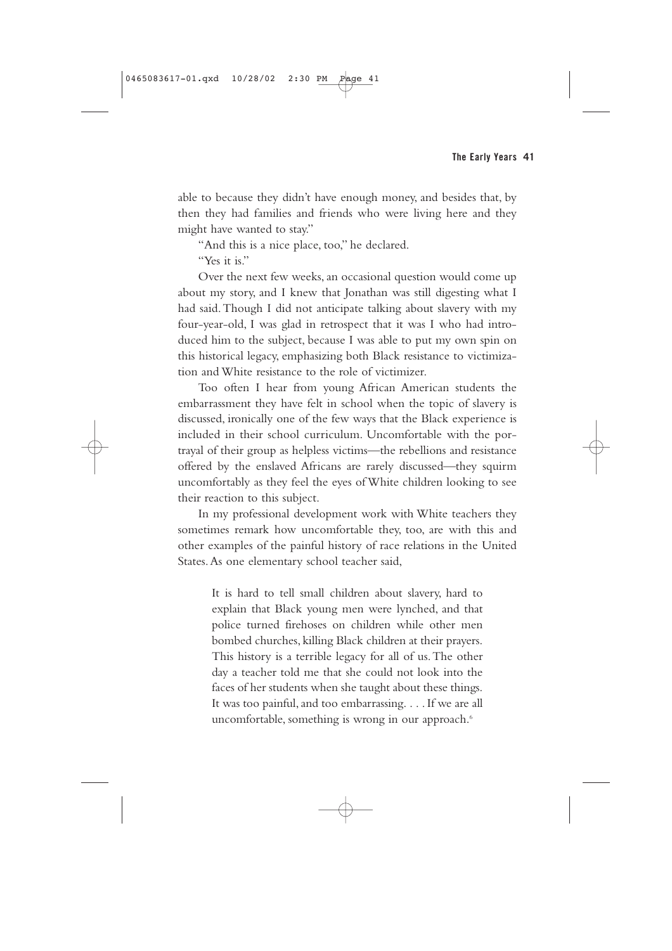**The Early Years 41**

able to because they didn't have enough money, and besides that, by then they had families and friends who were living here and they might have wanted to stay."

"And this is a nice place, too," he declared.

"Yes it is."

Over the next few weeks, an occasional question would come up about my story, and I knew that Jonathan was still digesting what I had said.Though I did not anticipate talking about slavery with my four-year-old, I was glad in retrospect that it was I who had introduced him to the subject, because I was able to put my own spin on this historical legacy, emphasizing both Black resistance to victimization and White resistance to the role of victimizer.

Too often I hear from young African American students the embarrassment they have felt in school when the topic of slavery is discussed, ironically one of the few ways that the Black experience is included in their school curriculum. Uncomfortable with the portrayal of their group as helpless victims—the rebellions and resistance offered by the enslaved Africans are rarely discussed—they squirm uncomfortably as they feel the eyes of White children looking to see their reaction to this subject.

In my professional development work with White teachers they sometimes remark how uncomfortable they, too, are with this and other examples of the painful history of race relations in the United States.As one elementary school teacher said,

It is hard to tell small children about slavery, hard to explain that Black young men were lynched, and that police turned firehoses on children while other men bombed churches, killing Black children at their prayers. This history is a terrible legacy for all of us.The other day a teacher told me that she could not look into the faces of her students when she taught about these things. It was too painful, and too embarrassing. . . . If we are all uncomfortable, something is wrong in our approach.<sup>6</sup>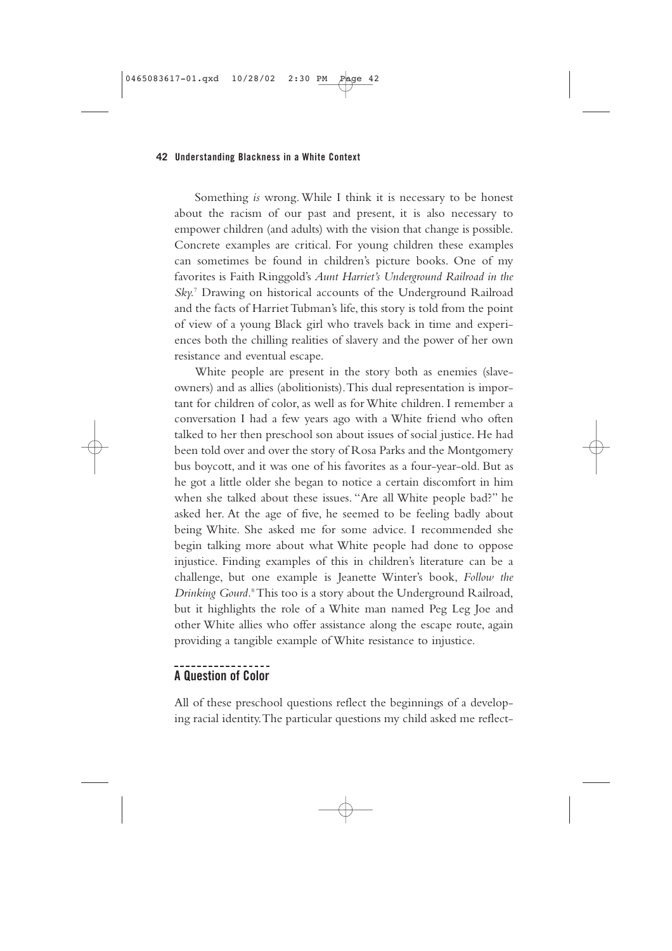Something *is* wrong. While I think it is necessary to be honest about the racism of our past and present, it is also necessary to empower children (and adults) with the vision that change is possible. Concrete examples are critical. For young children these examples can sometimes be found in children's picture books. One of my favorites is Faith Ringgold's *Aunt Harriet's Underground Railroad in the Sky.*<sup>7</sup> Drawing on historical accounts of the Underground Railroad and the facts of Harriet Tubman's life, this story is told from the point of view of a young Black girl who travels back in time and experiences both the chilling realities of slavery and the power of her own resistance and eventual escape.

White people are present in the story both as enemies (slaveowners) and as allies (abolitionists).This dual representation is important for children of color, as well as for White children. I remember a conversation I had a few years ago with a White friend who often talked to her then preschool son about issues of social justice. He had been told over and over the story of Rosa Parks and the Montgomery bus boycott, and it was one of his favorites as a four-year-old. But as he got a little older she began to notice a certain discomfort in him when she talked about these issues. "Are all White people bad?" he asked her. At the age of five, he seemed to be feeling badly about being White. She asked me for some advice. I recommended she begin talking more about what White people had done to oppose injustice. Finding examples of this in children's literature can be a challenge, but one example is Jeanette Winter's book, *Follow the Drinking Gourd.*8This too is a story about the Underground Railroad, but it highlights the role of a White man named Peg Leg Joe and other White allies who offer assistance along the escape route, again providing a tangible example of White resistance to injustice.

## **A Question of Color**

All of these preschool questions reflect the beginnings of a developing racial identity.The particular questions my child asked me reflect-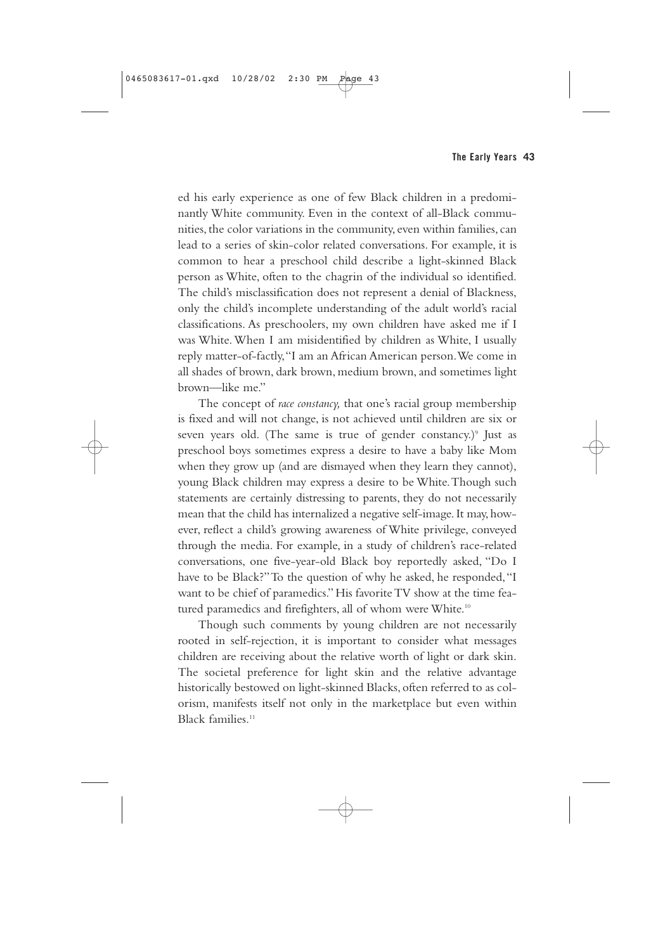#### **The Early Years 43**

ed his early experience as one of few Black children in a predominantly White community. Even in the context of all-Black communities, the color variations in the community, even within families, can lead to a series of skin-color related conversations. For example, it is common to hear a preschool child describe a light-skinned Black person as White, often to the chagrin of the individual so identified. The child's misclassification does not represent a denial of Blackness, only the child's incomplete understanding of the adult world's racial classifications. As preschoolers, my own children have asked me if I was White.When I am misidentified by children as White, I usually reply matter-of-factly,"I am an African American person.We come in all shades of brown, dark brown, medium brown, and sometimes light brown—like me."

The concept of *race constancy,* that one's racial group membership is fixed and will not change, is not achieved until children are six or seven years old. (The same is true of gender constancy.)<sup>9</sup> Just as preschool boys sometimes express a desire to have a baby like Mom when they grow up (and are dismayed when they learn they cannot), young Black children may express a desire to be White.Though such statements are certainly distressing to parents, they do not necessarily mean that the child has internalized a negative self-image.It may,however, reflect a child's growing awareness of White privilege, conveyed through the media. For example, in a study of children's race-related conversations, one five-year-old Black boy reportedly asked, "Do I have to be Black?"To the question of why he asked, he responded,"I want to be chief of paramedics." His favorite TV show at the time featured paramedics and firefighters, all of whom were White.<sup>10</sup>

Though such comments by young children are not necessarily rooted in self-rejection, it is important to consider what messages children are receiving about the relative worth of light or dark skin. The societal preference for light skin and the relative advantage historically bestowed on light-skinned Blacks, often referred to as colorism, manifests itself not only in the marketplace but even within Black families.<sup>11</sup>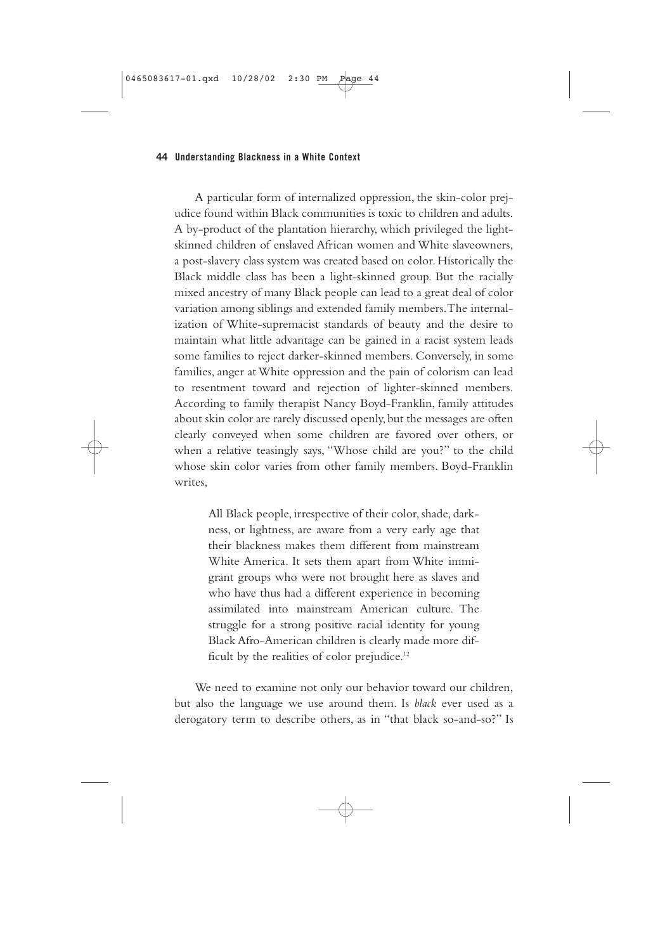A particular form of internalized oppression, the skin-color prejudice found within Black communities is toxic to children and adults. A by-product of the plantation hierarchy, which privileged the lightskinned children of enslaved African women and White slaveowners, a post-slavery class system was created based on color. Historically the Black middle class has been a light-skinned group. But the racially mixed ancestry of many Black people can lead to a great deal of color variation among siblings and extended family members.The internalization of White-supremacist standards of beauty and the desire to maintain what little advantage can be gained in a racist system leads some families to reject darker-skinned members. Conversely, in some families, anger at White oppression and the pain of colorism can lead to resentment toward and rejection of lighter-skinned members. According to family therapist Nancy Boyd-Franklin, family attitudes about skin color are rarely discussed openly, but the messages are often clearly conveyed when some children are favored over others, or when a relative teasingly says, "Whose child are you?" to the child whose skin color varies from other family members. Boyd-Franklin writes,

All Black people, irrespective of their color, shade, darkness, or lightness, are aware from a very early age that their blackness makes them different from mainstream White America. It sets them apart from White immigrant groups who were not brought here as slaves and who have thus had a different experience in becoming assimilated into mainstream American culture. The struggle for a strong positive racial identity for young Black Afro-American children is clearly made more difficult by the realities of color prejudice.<sup>12</sup>

We need to examine not only our behavior toward our children, but also the language we use around them. Is *black* ever used as a derogatory term to describe others, as in "that black so-and-so?" Is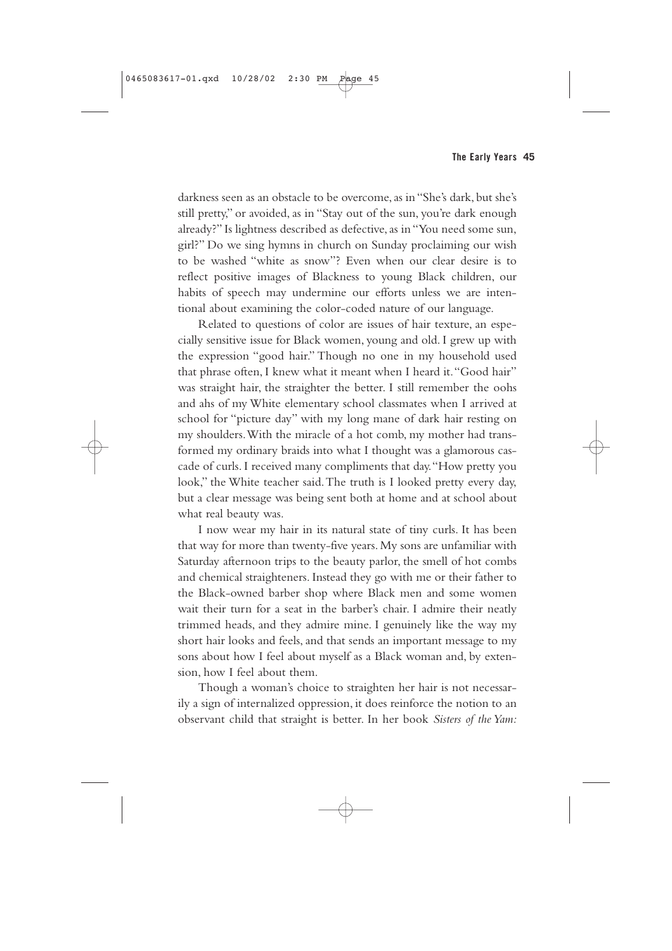#### **The Early Years 45**

darkness seen as an obstacle to be overcome, as in "She's dark, but she's still pretty," or avoided, as in "Stay out of the sun, you're dark enough already?" Is lightness described as defective, as in "You need some sun, girl?" Do we sing hymns in church on Sunday proclaiming our wish to be washed "white as snow"? Even when our clear desire is to reflect positive images of Blackness to young Black children, our habits of speech may undermine our efforts unless we are intentional about examining the color-coded nature of our language.

Related to questions of color are issues of hair texture, an especially sensitive issue for Black women, young and old. I grew up with the expression "good hair." Though no one in my household used that phrase often, I knew what it meant when I heard it."Good hair" was straight hair, the straighter the better. I still remember the oohs and ahs of my White elementary school classmates when I arrived at school for "picture day" with my long mane of dark hair resting on my shoulders.With the miracle of a hot comb, my mother had transformed my ordinary braids into what I thought was a glamorous cascade of curls. I received many compliments that day."How pretty you look," the White teacher said.The truth is I looked pretty every day, but a clear message was being sent both at home and at school about what real beauty was.

I now wear my hair in its natural state of tiny curls. It has been that way for more than twenty-five years. My sons are unfamiliar with Saturday afternoon trips to the beauty parlor, the smell of hot combs and chemical straighteners. Instead they go with me or their father to the Black-owned barber shop where Black men and some women wait their turn for a seat in the barber's chair. I admire their neatly trimmed heads, and they admire mine. I genuinely like the way my short hair looks and feels, and that sends an important message to my sons about how I feel about myself as a Black woman and, by extension, how I feel about them.

Though a woman's choice to straighten her hair is not necessarily a sign of internalized oppression, it does reinforce the notion to an observant child that straight is better. In her book *Sisters of the Yam:*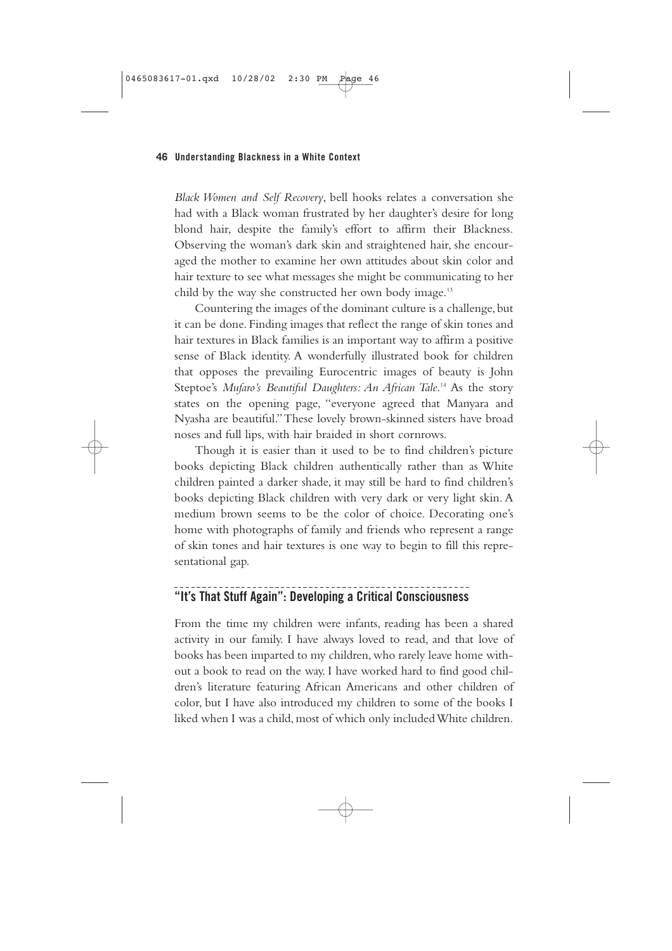*Black Women and Self Recovery*, bell hooks relates a conversation she had with a Black woman frustrated by her daughter's desire for long blond hair, despite the family's effort to affirm their Blackness. Observing the woman's dark skin and straightened hair, she encouraged the mother to examine her own attitudes about skin color and hair texture to see what messages she might be communicating to her child by the way she constructed her own body image. 13

Countering the images of the dominant culture is a challenge, but it can be done. Finding images that reflect the range of skin tones and hair textures in Black families is an important way to affirm a positive sense of Black identity. A wonderfully illustrated book for children that opposes the prevailing Eurocentric images of beauty is John Steptoe's *Mufaro's Beautiful Daughters: An African Tale*. <sup>14</sup> As the story states on the opening page, "everyone agreed that Manyara and Nyasha are beautiful."These lovely brown-skinned sisters have broad noses and full lips, with hair braided in short cornrows.

Though it is easier than it used to be to find children's picture books depicting Black children authentically rather than as White children painted a darker shade, it may still be hard to find children's books depicting Black children with very dark or very light skin. A medium brown seems to be the color of choice. Decorating one's home with photographs of family and friends who represent a range of skin tones and hair textures is one way to begin to fill this representational gap.

## **"It's That Stuff Again": Developing a Critical Consciousness**

From the time my children were infants, reading has been a shared activity in our family. I have always loved to read, and that love of books has been imparted to my children, who rarely leave home without a book to read on the way. I have worked hard to find good children's literature featuring African Americans and other children of color, but I have also introduced my children to some of the books I liked when I was a child, most of which only included White children.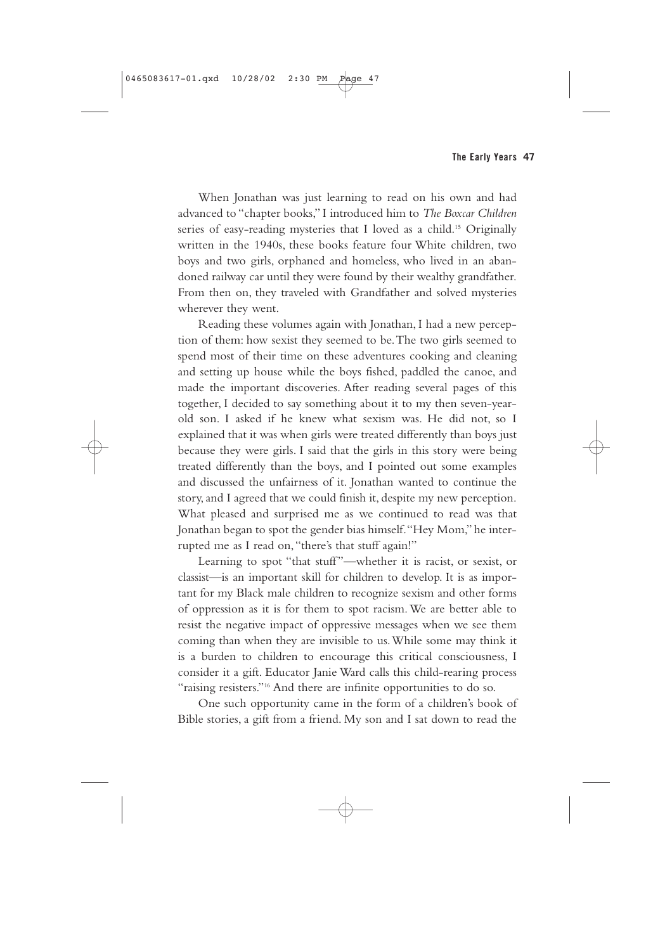0465083617-01.qxd 10/28/02 2:30

#### **The Early Years 47**

When Jonathan was just learning to read on his own and had advanced to "chapter books," I introduced him to *The Boxcar Children* series of easy-reading mysteries that I loved as a child.<sup>15</sup> Originally written in the 1940s, these books feature four White children, two boys and two girls, orphaned and homeless, who lived in an abandoned railway car until they were found by their wealthy grandfather. From then on, they traveled with Grandfather and solved mysteries wherever they went.

Reading these volumes again with Jonathan, I had a new perception of them: how sexist they seemed to be.The two girls seemed to spend most of their time on these adventures cooking and cleaning and setting up house while the boys fished, paddled the canoe, and made the important discoveries. After reading several pages of this together, I decided to say something about it to my then seven-yearold son. I asked if he knew what sexism was. He did not, so I explained that it was when girls were treated differently than boys just because they were girls. I said that the girls in this story were being treated differently than the boys, and I pointed out some examples and discussed the unfairness of it. Jonathan wanted to continue the story, and I agreed that we could finish it, despite my new perception. What pleased and surprised me as we continued to read was that Jonathan began to spot the gender bias himself."Hey Mom," he interrupted me as I read on,"there's that stuff again!"

Learning to spot "that stuff"—whether it is racist, or sexist, or classist—is an important skill for children to develop. It is as important for my Black male children to recognize sexism and other forms of oppression as it is for them to spot racism. We are better able to resist the negative impact of oppressive messages when we see them coming than when they are invisible to us.While some may think it is a burden to children to encourage this critical consciousness, I consider it a gift. Educator Janie Ward calls this child-rearing process "raising resisters."<sup>16</sup> And there are infinite opportunities to do so.

One such opportunity came in the form of a children's book of Bible stories, a gift from a friend. My son and I sat down to read the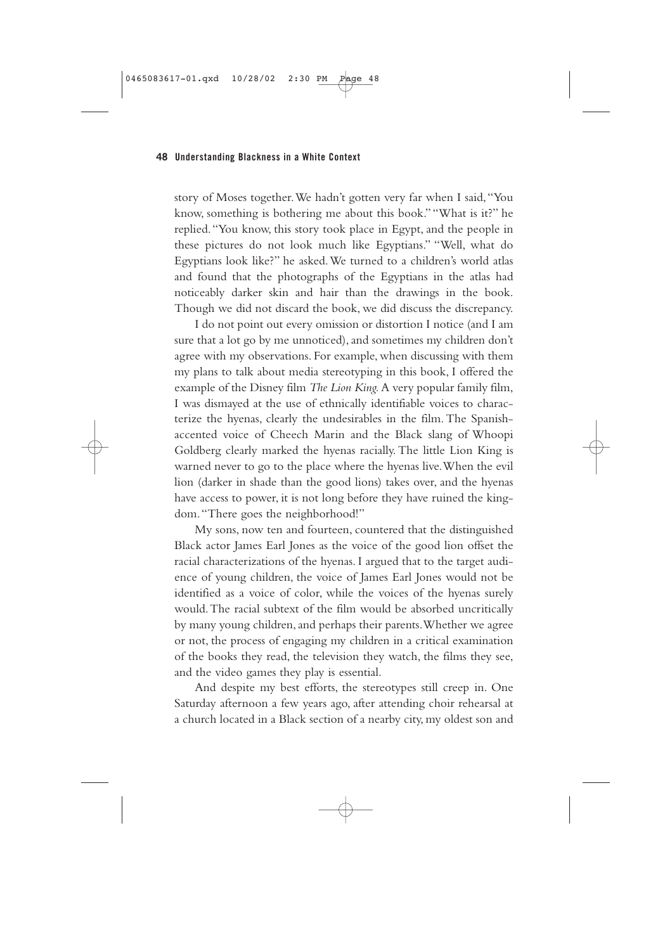story of Moses together.We hadn't gotten very far when I said,"You know, something is bothering me about this book.""What is it?" he replied."You know, this story took place in Egypt, and the people in these pictures do not look much like Egyptians." "Well, what do Egyptians look like?" he asked.We turned to a children's world atlas and found that the photographs of the Egyptians in the atlas had noticeably darker skin and hair than the drawings in the book. Though we did not discard the book, we did discuss the discrepancy.

I do not point out every omission or distortion I notice (and I am sure that a lot go by me unnoticed), and sometimes my children don't agree with my observations. For example, when discussing with them my plans to talk about media stereotyping in this book, I offered the example of the Disney film *The Lion King.*A very popular family film, I was dismayed at the use of ethnically identifiable voices to characterize the hyenas, clearly the undesirables in the film. The Spanishaccented voice of Cheech Marin and the Black slang of Whoopi Goldberg clearly marked the hyenas racially. The little Lion King is warned never to go to the place where the hyenas live.When the evil lion (darker in shade than the good lions) takes over, and the hyenas have access to power, it is not long before they have ruined the kingdom."There goes the neighborhood!"

My sons, now ten and fourteen, countered that the distinguished Black actor James Earl Jones as the voice of the good lion offset the racial characterizations of the hyenas. I argued that to the target audience of young children, the voice of James Earl Jones would not be identified as a voice of color, while the voices of the hyenas surely would.The racial subtext of the film would be absorbed uncritically by many young children, and perhaps their parents.Whether we agree or not, the process of engaging my children in a critical examination of the books they read, the television they watch, the films they see, and the video games they play is essential.

And despite my best efforts, the stereotypes still creep in. One Saturday afternoon a few years ago, after attending choir rehearsal at a church located in a Black section of a nearby city, my oldest son and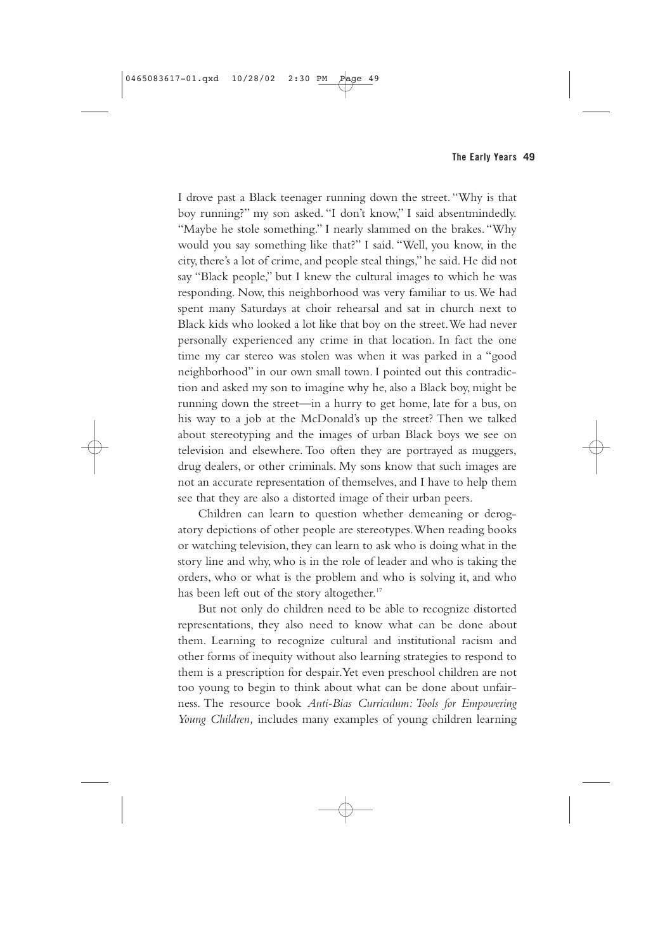**The Early Years 49**

I drove past a Black teenager running down the street. "Why is that boy running?" my son asked. "I don't know," I said absentmindedly. "Maybe he stole something." I nearly slammed on the brakes."Why would you say something like that?" I said. "Well, you know, in the city, there's a lot of crime, and people steal things," he said. He did not say "Black people," but I knew the cultural images to which he was responding. Now, this neighborhood was very familiar to us.We had spent many Saturdays at choir rehearsal and sat in church next to Black kids who looked a lot like that boy on the street.We had never personally experienced any crime in that location. In fact the one time my car stereo was stolen was when it was parked in a "good neighborhood" in our own small town. I pointed out this contradiction and asked my son to imagine why he, also a Black boy, might be running down the street—in a hurry to get home, late for a bus, on his way to a job at the McDonald's up the street? Then we talked about stereotyping and the images of urban Black boys we see on television and elsewhere. Too often they are portrayed as muggers, drug dealers, or other criminals. My sons know that such images are not an accurate representation of themselves, and I have to help them see that they are also a distorted image of their urban peers.

Children can learn to question whether demeaning or derogatory depictions of other people are stereotypes.When reading books or watching television, they can learn to ask who is doing what in the story line and why, who is in the role of leader and who is taking the orders, who or what is the problem and who is solving it, and who has been left out of the story altogether.<sup>17</sup>

But not only do children need to be able to recognize distorted representations, they also need to know what can be done about them. Learning to recognize cultural and institutional racism and other forms of inequity without also learning strategies to respond to them is a prescription for despair.Yet even preschool children are not too young to begin to think about what can be done about unfairness. The resource book *Anti-Bias Curriculum: Tools for Empowering Young Children,* includes many examples of young children learning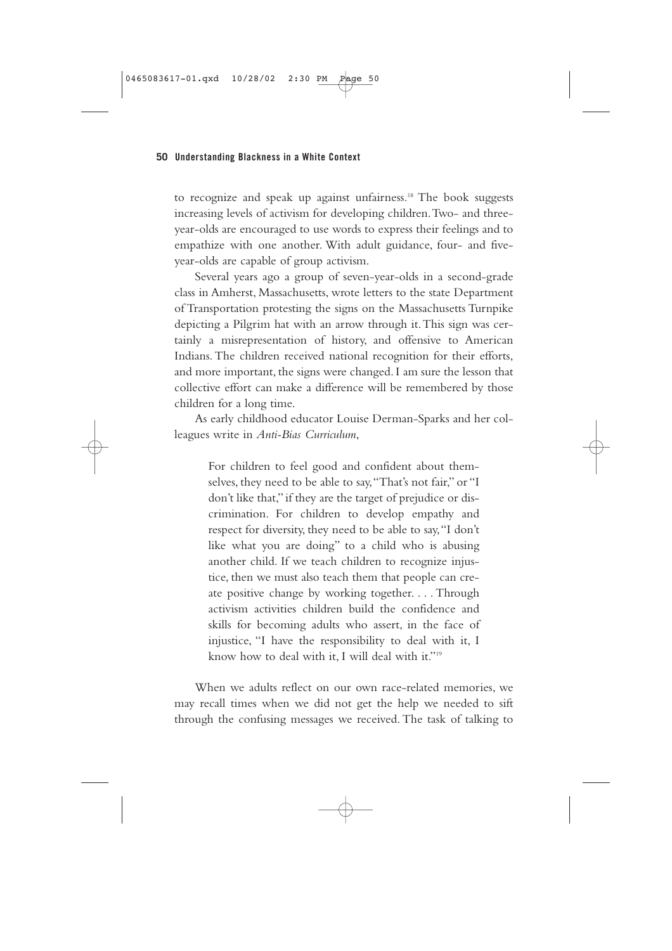to recognize and speak up against unfairness.<sup>18</sup> The book suggests increasing levels of activism for developing children.Two- and threeyear-olds are encouraged to use words to express their feelings and to empathize with one another. With adult guidance, four- and fiveyear-olds are capable of group activism.

Several years ago a group of seven-year-olds in a second-grade class in Amherst, Massachusetts, wrote letters to the state Department of Transportation protesting the signs on the Massachusetts Turnpike depicting a Pilgrim hat with an arrow through it.This sign was certainly a misrepresentation of history, and offensive to American Indians. The children received national recognition for their efforts, and more important, the signs were changed. I am sure the lesson that collective effort can make a difference will be remembered by those children for a long time.

As early childhood educator Louise Derman-Sparks and her colleagues write in *Anti-Bias Curriculum*,

For children to feel good and confident about themselves, they need to be able to say,"That's not fair," or "I don't like that," if they are the target of prejudice or discrimination. For children to develop empathy and respect for diversity, they need to be able to say,"I don't like what you are doing" to a child who is abusing another child. If we teach children to recognize injustice, then we must also teach them that people can create positive change by working together. . . . Through activism activities children build the confidence and skills for becoming adults who assert, in the face of injustice, "I have the responsibility to deal with it, I know how to deal with it, I will deal with it."<sup>19</sup>

When we adults reflect on our own race-related memories, we may recall times when we did not get the help we needed to sift through the confusing messages we received. The task of talking to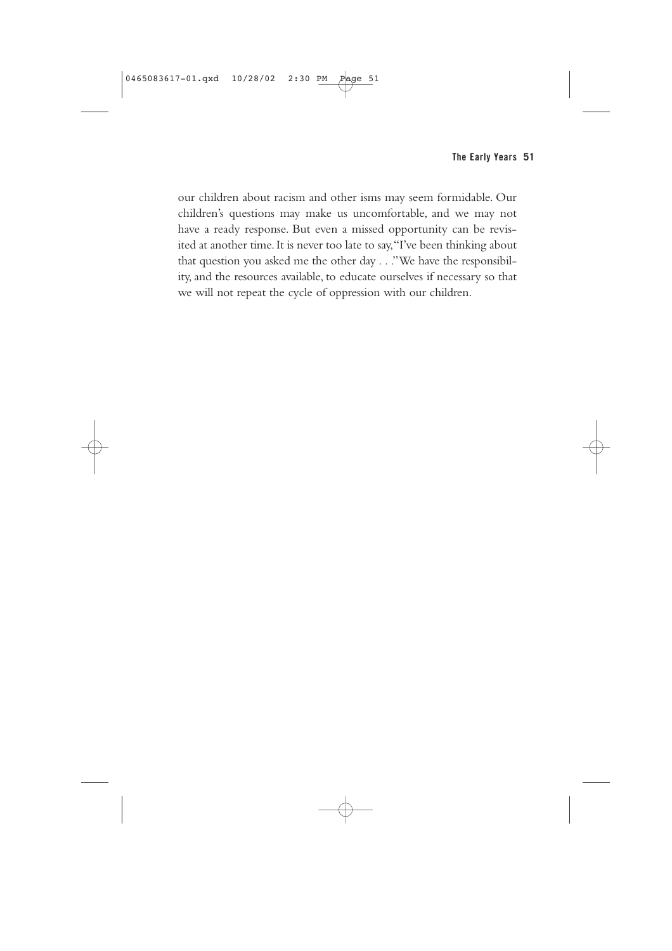$0465083617-01.$ qxd  $10/28/02$  2:30 PM Page 51

### **The Early Years 51**

our children about racism and other isms may seem formidable. Our children's questions may make us uncomfortable, and we may not have a ready response. But even a missed opportunity can be revisited at another time.It is never too late to say,"I've been thinking about that question you asked me the other day . . ."We have the responsibility, and the resources available, to educate ourselves if necessary so that we will not repeat the cycle of oppression with our children.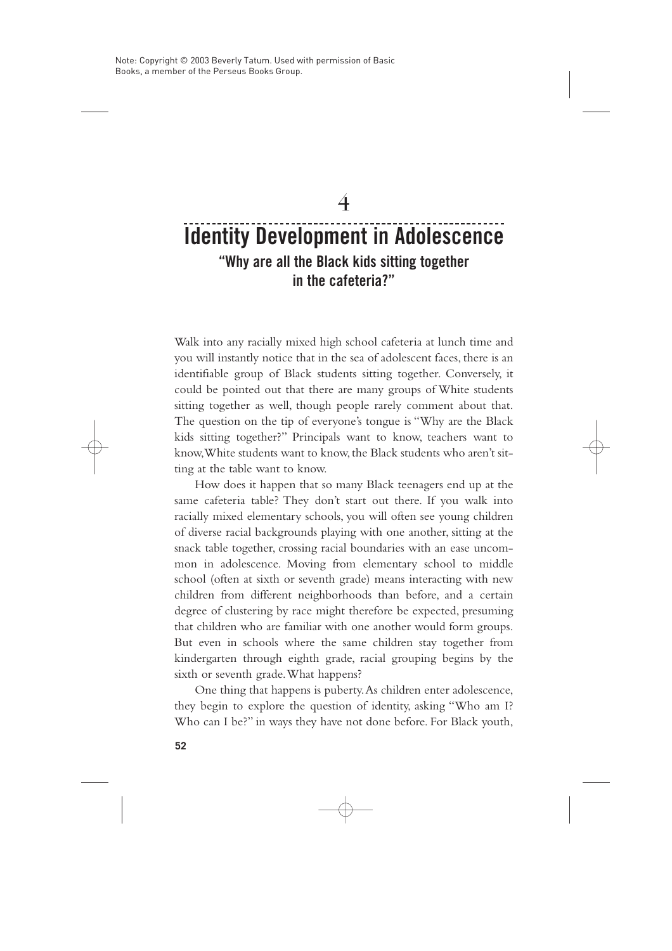## 4 **Identity Development in Adolescence "Why are all the Black kids sitting together in the cafeteria?"**

Walk into any racially mixed high school cafeteria at lunch time and you will instantly notice that in the sea of adolescent faces, there is an identifiable group of Black students sitting together. Conversely, it could be pointed out that there are many groups of White students sitting together as well, though people rarely comment about that. The question on the tip of everyone's tongue is "Why are the Black kids sitting together?" Principals want to know, teachers want to know,White students want to know, the Black students who aren't sitting at the table want to know.

How does it happen that so many Black teenagers end up at the same cafeteria table? They don't start out there. If you walk into racially mixed elementary schools, you will often see young children of diverse racial backgrounds playing with one another, sitting at the snack table together, crossing racial boundaries with an ease uncommon in adolescence. Moving from elementary school to middle school (often at sixth or seventh grade) means interacting with new children from different neighborhoods than before, and a certain degree of clustering by race might therefore be expected, presuming that children who are familiar with one another would form groups. But even in schools where the same children stay together from kindergarten through eighth grade, racial grouping begins by the sixth or seventh grade.What happens?

One thing that happens is puberty.As children enter adolescence, they begin to explore the question of identity, asking "Who am I? Who can I be?" in ways they have not done before. For Black youth,

**52**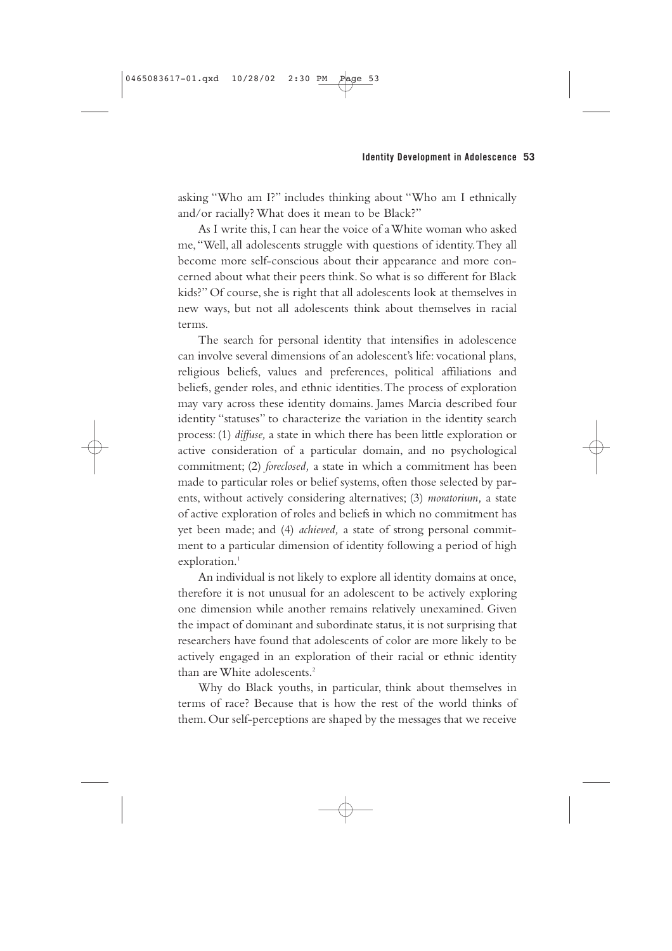0465083617-01.qxd 10/28/02 2:30 PM

#### **Identity Development in Adolescence 53**

asking "Who am I?" includes thinking about "Who am I ethnically and/or racially? What does it mean to be Black?"

As I write this, I can hear the voice of a White woman who asked me,"Well, all adolescents struggle with questions of identity.They all become more self-conscious about their appearance and more concerned about what their peers think. So what is so different for Black kids?" Of course, she is right that all adolescents look at themselves in new ways, but not all adolescents think about themselves in racial terms.

The search for personal identity that intensifies in adolescence can involve several dimensions of an adolescent's life: vocational plans, religious beliefs, values and preferences, political affiliations and beliefs, gender roles, and ethnic identities.The process of exploration may vary across these identity domains. James Marcia described four identity "statuses" to characterize the variation in the identity search process: (1) *diffuse,* a state in which there has been little exploration or active consideration of a particular domain, and no psychological commitment; (2) *foreclosed,* a state in which a commitment has been made to particular roles or belief systems, often those selected by parents, without actively considering alternatives; (3) *moratorium,* a state of active exploration of roles and beliefs in which no commitment has yet been made; and (4) *achieved,* a state of strong personal commitment to a particular dimension of identity following a period of high exploration.<sup>1</sup>

An individual is not likely to explore all identity domains at once, therefore it is not unusual for an adolescent to be actively exploring one dimension while another remains relatively unexamined. Given the impact of dominant and subordinate status, it is not surprising that researchers have found that adolescents of color are more likely to be actively engaged in an exploration of their racial or ethnic identity than are White adolescents.<sup>2</sup>

Why do Black youths, in particular, think about themselves in terms of race? Because that is how the rest of the world thinks of them. Our self-perceptions are shaped by the messages that we receive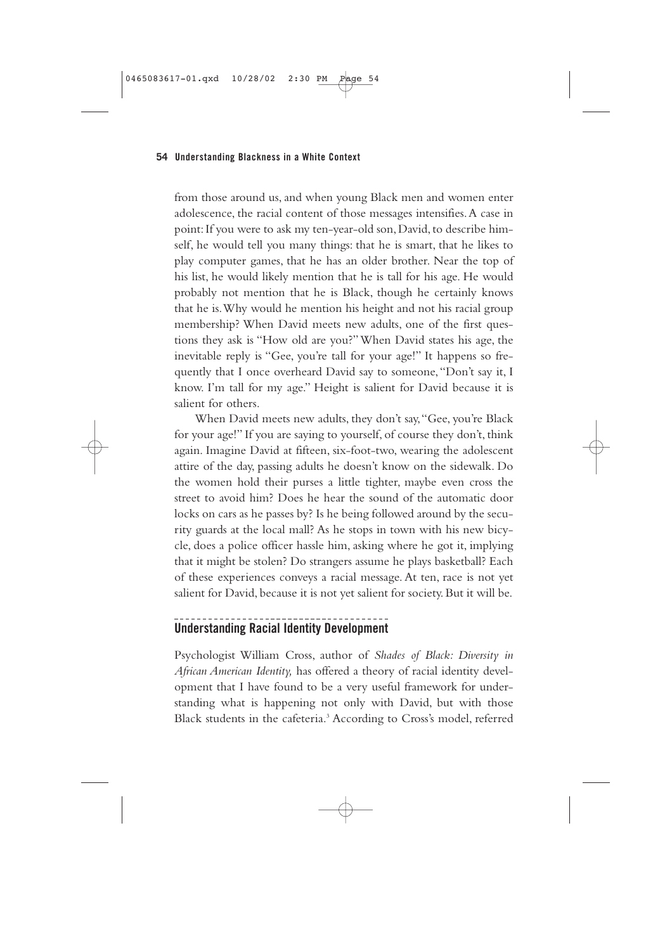from those around us, and when young Black men and women enter adolescence, the racial content of those messages intensifies.A case in point: If you were to ask my ten-year-old son, David, to describe himself, he would tell you many things: that he is smart, that he likes to play computer games, that he has an older brother. Near the top of his list, he would likely mention that he is tall for his age. He would probably not mention that he is Black, though he certainly knows that he is.Why would he mention his height and not his racial group membership? When David meets new adults, one of the first questions they ask is "How old are you?"When David states his age, the inevitable reply is "Gee, you're tall for your age!" It happens so frequently that I once overheard David say to someone, "Don't say it, I know. I'm tall for my age." Height is salient for David because it is salient for others.

When David meets new adults, they don't say,"Gee, you're Black for your age!" If you are saying to yourself, of course they don't, think again. Imagine David at fifteen, six-foot-two, wearing the adolescent attire of the day, passing adults he doesn't know on the sidewalk. Do the women hold their purses a little tighter, maybe even cross the street to avoid him? Does he hear the sound of the automatic door locks on cars as he passes by? Is he being followed around by the security guards at the local mall? As he stops in town with his new bicycle, does a police officer hassle him, asking where he got it, implying that it might be stolen? Do strangers assume he plays basketball? Each of these experiences conveys a racial message. At ten, race is not yet salient for David, because it is not yet salient for society. But it will be.

## **Understanding Racial Identity Development**

Psychologist William Cross, author of *Shades of Black: Diversity in African American Identity,* has offered a theory of racial identity development that I have found to be a very useful framework for understanding what is happening not only with David, but with those Black students in the cafeteria.<sup>3</sup> According to Cross's model, referred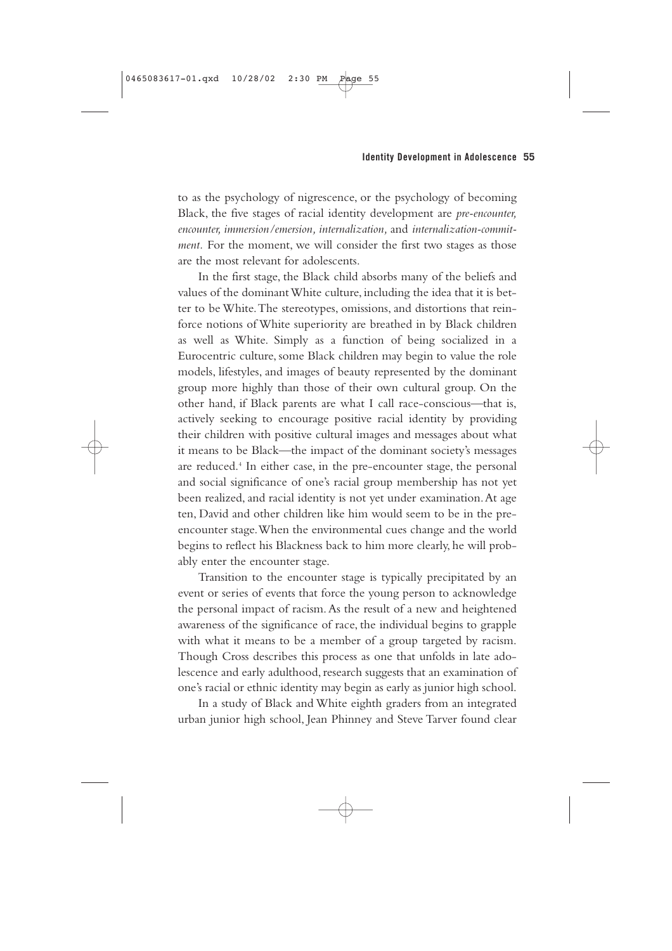0465083617-01.qxd 10/28/02 2:30

#### **Identity Development in Adolescence 55**

to as the psychology of nigrescence, or the psychology of becoming Black, the five stages of racial identity development are *pre-encounter, encounter, immersion/emersion, internalization,* and *internalization-commitment.* For the moment, we will consider the first two stages as those are the most relevant for adolescents.

In the first stage, the Black child absorbs many of the beliefs and values of the dominant White culture, including the idea that it is better to be White.The stereotypes, omissions, and distortions that reinforce notions of White superiority are breathed in by Black children as well as White. Simply as a function of being socialized in a Eurocentric culture, some Black children may begin to value the role models, lifestyles, and images of beauty represented by the dominant group more highly than those of their own cultural group. On the other hand, if Black parents are what I call race-conscious—that is, actively seeking to encourage positive racial identity by providing their children with positive cultural images and messages about what it means to be Black—the impact of the dominant society's messages are reduced.<sup>4</sup> In either case, in the pre-encounter stage, the personal and social significance of one's racial group membership has not yet been realized, and racial identity is not yet under examination.At age ten, David and other children like him would seem to be in the preencounter stage.When the environmental cues change and the world begins to reflect his Blackness back to him more clearly, he will probably enter the encounter stage.

Transition to the encounter stage is typically precipitated by an event or series of events that force the young person to acknowledge the personal impact of racism.As the result of a new and heightened awareness of the significance of race, the individual begins to grapple with what it means to be a member of a group targeted by racism. Though Cross describes this process as one that unfolds in late adolescence and early adulthood, research suggests that an examination of one's racial or ethnic identity may begin as early as junior high school.

In a study of Black and White eighth graders from an integrated urban junior high school, Jean Phinney and Steve Tarver found clear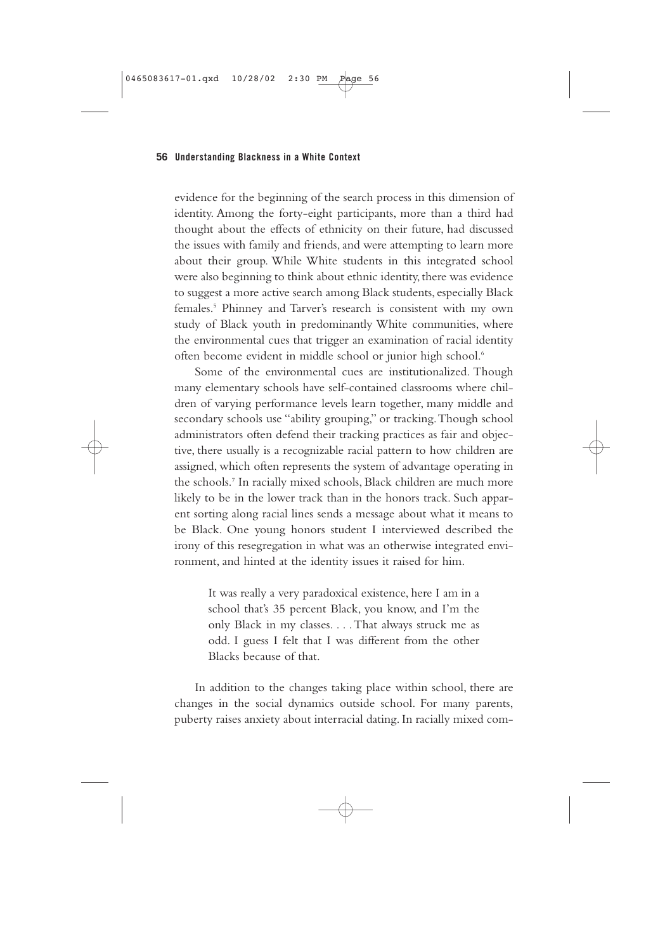evidence for the beginning of the search process in this dimension of identity. Among the forty-eight participants, more than a third had thought about the effects of ethnicity on their future, had discussed the issues with family and friends, and were attempting to learn more about their group. While White students in this integrated school were also beginning to think about ethnic identity, there was evidence to suggest a more active search among Black students, especially Black females.<sup>5</sup> Phinney and Tarver's research is consistent with my own study of Black youth in predominantly White communities, where the environmental cues that trigger an examination of racial identity often become evident in middle school or junior high school.<sup>6</sup>

Some of the environmental cues are institutionalized. Though many elementary schools have self-contained classrooms where children of varying performance levels learn together, many middle and secondary schools use "ability grouping," or tracking.Though school administrators often defend their tracking practices as fair and objective, there usually is a recognizable racial pattern to how children are assigned, which often represents the system of advantage operating in the schools.<sup>7</sup> In racially mixed schools, Black children are much more likely to be in the lower track than in the honors track. Such apparent sorting along racial lines sends a message about what it means to be Black. One young honors student I interviewed described the irony of this resegregation in what was an otherwise integrated environment, and hinted at the identity issues it raised for him.

It was really a very paradoxical existence, here I am in a school that's 35 percent Black, you know, and I'm the only Black in my classes. . . .That always struck me as odd. I guess I felt that I was different from the other Blacks because of that.

In addition to the changes taking place within school, there are changes in the social dynamics outside school. For many parents, puberty raises anxiety about interracial dating. In racially mixed com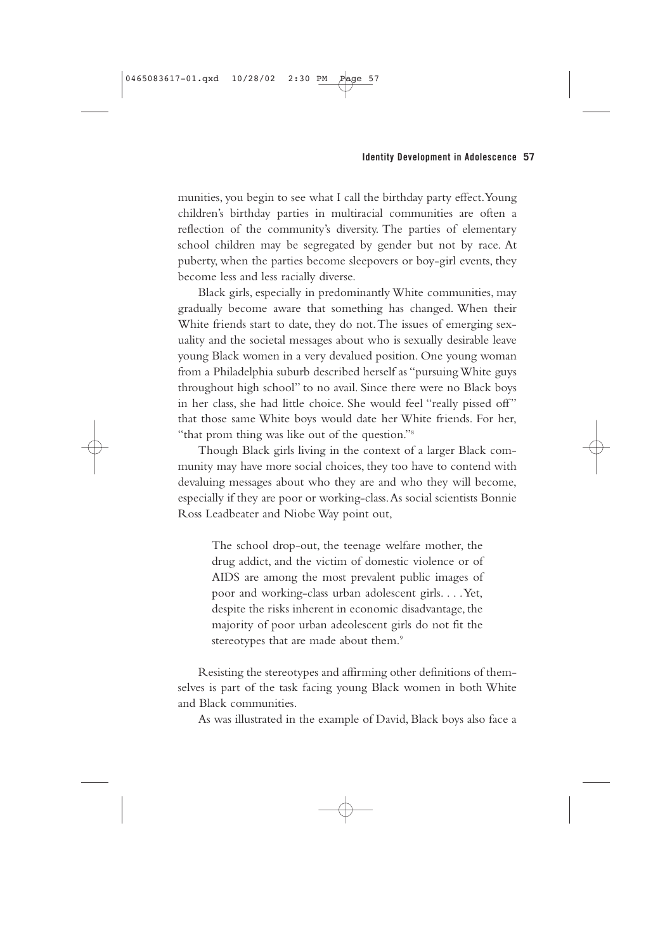$0465083617 - 01.$ qxd  $10/28/02$  2:30

#### **Identity Development in Adolescence 57**

munities, you begin to see what I call the birthday party effect.Young children's birthday parties in multiracial communities are often a reflection of the community's diversity. The parties of elementary school children may be segregated by gender but not by race. At puberty, when the parties become sleepovers or boy-girl events, they become less and less racially diverse.

Black girls, especially in predominantly White communities, may gradually become aware that something has changed. When their White friends start to date, they do not.The issues of emerging sexuality and the societal messages about who is sexually desirable leave young Black women in a very devalued position. One young woman from a Philadelphia suburb described herself as "pursuing White guys throughout high school" to no avail. Since there were no Black boys in her class, she had little choice. She would feel "really pissed off" that those same White boys would date her White friends. For her, "that prom thing was like out of the question."<sup>8</sup>

Though Black girls living in the context of a larger Black community may have more social choices, they too have to contend with devaluing messages about who they are and who they will become, especially if they are poor or working-class.As social scientists Bonnie Ross Leadbeater and Niobe Way point out,

The school drop-out, the teenage welfare mother, the drug addict, and the victim of domestic violence or of AIDS are among the most prevalent public images of poor and working-class urban adolescent girls. . . .Yet, despite the risks inherent in economic disadvantage, the majority of poor urban adeolescent girls do not fit the stereotypes that are made about them.<sup>9</sup>

Resisting the stereotypes and affirming other definitions of themselves is part of the task facing young Black women in both White and Black communities.

As was illustrated in the example of David, Black boys also face a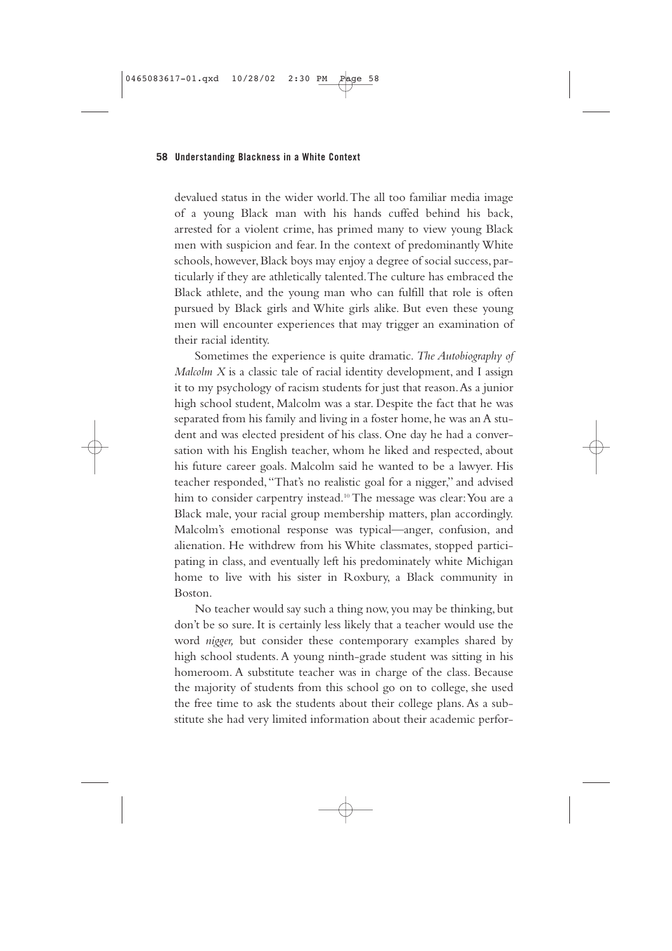devalued status in the wider world.The all too familiar media image of a young Black man with his hands cuffed behind his back, arrested for a violent crime, has primed many to view young Black men with suspicion and fear. In the context of predominantly White schools, however, Black boys may enjoy a degree of social success, particularly if they are athletically talented.The culture has embraced the Black athlete, and the young man who can fulfill that role is often pursued by Black girls and White girls alike. But even these young men will encounter experiences that may trigger an examination of their racial identity.

Sometimes the experience is quite dramatic. *The Autobiography of Malcolm X* is a classic tale of racial identity development, and I assign it to my psychology of racism students for just that reason.As a junior high school student, Malcolm was a star. Despite the fact that he was separated from his family and living in a foster home, he was an A student and was elected president of his class. One day he had a conversation with his English teacher, whom he liked and respected, about his future career goals. Malcolm said he wanted to be a lawyer. His teacher responded,"That's no realistic goal for a nigger," and advised him to consider carpentry instead.<sup>10</sup> The message was clear: You are a Black male, your racial group membership matters, plan accordingly. Malcolm's emotional response was typical—anger, confusion, and alienation. He withdrew from his White classmates, stopped participating in class, and eventually left his predominately white Michigan home to live with his sister in Roxbury, a Black community in Boston.

No teacher would say such a thing now, you may be thinking, but don't be so sure. It is certainly less likely that a teacher would use the word *nigger,* but consider these contemporary examples shared by high school students. A young ninth-grade student was sitting in his homeroom. A substitute teacher was in charge of the class. Because the majority of students from this school go on to college, she used the free time to ask the students about their college plans. As a substitute she had very limited information about their academic perfor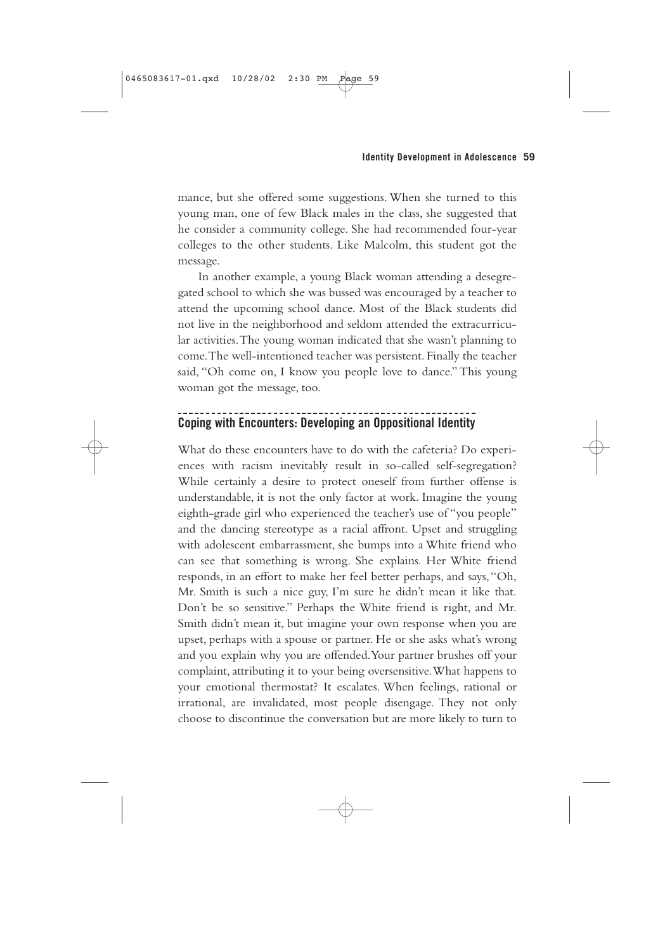0465083617-01.qxd 10/28/02 2:30 PM

#### **Identity Development in Adolescence 59**

mance, but she offered some suggestions. When she turned to this young man, one of few Black males in the class, she suggested that he consider a community college. She had recommended four-year colleges to the other students. Like Malcolm, this student got the message.

In another example, a young Black woman attending a desegregated school to which she was bussed was encouraged by a teacher to attend the upcoming school dance. Most of the Black students did not live in the neighborhood and seldom attended the extracurricular activities.The young woman indicated that she wasn't planning to come.The well-intentioned teacher was persistent. Finally the teacher said, "Oh come on, I know you people love to dance." This young woman got the message, too.

## **Coping with Encounters: Developing an Oppositional Identity**

What do these encounters have to do with the cafeteria? Do experiences with racism inevitably result in so-called self-segregation? While certainly a desire to protect oneself from further offense is understandable, it is not the only factor at work. Imagine the young eighth-grade girl who experienced the teacher's use of "you people" and the dancing stereotype as a racial affront. Upset and struggling with adolescent embarrassment, she bumps into a White friend who can see that something is wrong. She explains. Her White friend responds, in an effort to make her feel better perhaps, and says,"Oh, Mr. Smith is such a nice guy, I'm sure he didn't mean it like that. Don't be so sensitive." Perhaps the White friend is right, and Mr. Smith didn't mean it, but imagine your own response when you are upset, perhaps with a spouse or partner. He or she asks what's wrong and you explain why you are offended.Your partner brushes off your complaint, attributing it to your being oversensitive.What happens to your emotional thermostat? It escalates. When feelings, rational or irrational, are invalidated, most people disengage. They not only choose to discontinue the conversation but are more likely to turn to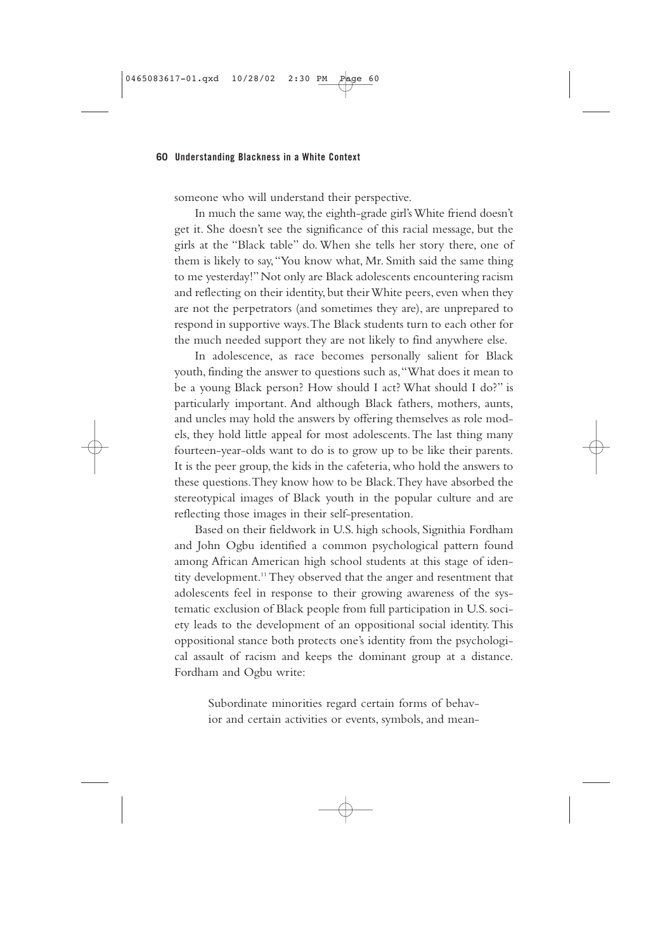someone who will understand their perspective.

In much the same way, the eighth-grade girl's White friend doesn't get it. She doesn't see the significance of this racial message, but the girls at the "Black table" do. When she tells her story there, one of them is likely to say,"You know what, Mr. Smith said the same thing to me yesterday!" Not only are Black adolescents encountering racism and reflecting on their identity, but their White peers, even when they are not the perpetrators (and sometimes they are), are unprepared to respond in supportive ways.The Black students turn to each other for the much needed support they are not likely to find anywhere else.

In adolescence, as race becomes personally salient for Black youth, finding the answer to questions such as,"What does it mean to be a young Black person? How should I act? What should I do?" is particularly important. And although Black fathers, mothers, aunts, and uncles may hold the answers by offering themselves as role models, they hold little appeal for most adolescents.The last thing many fourteen-year-olds want to do is to grow up to be like their parents. It is the peer group, the kids in the cafeteria, who hold the answers to these questions.They know how to be Black.They have absorbed the stereotypical images of Black youth in the popular culture and are reflecting those images in their self-presentation.

Based on their fieldwork in U.S. high schools, Signithia Fordham and John Ogbu identified a common psychological pattern found among African American high school students at this stage of identity development.11They observed that the anger and resentment that adolescents feel in response to their growing awareness of the systematic exclusion of Black people from full participation in U.S. society leads to the development of an oppositional social identity. This oppositional stance both protects one's identity from the psychological assault of racism and keeps the dominant group at a distance. Fordham and Ogbu write:

Subordinate minorities regard certain forms of behavior and certain activities or events, symbols, and mean-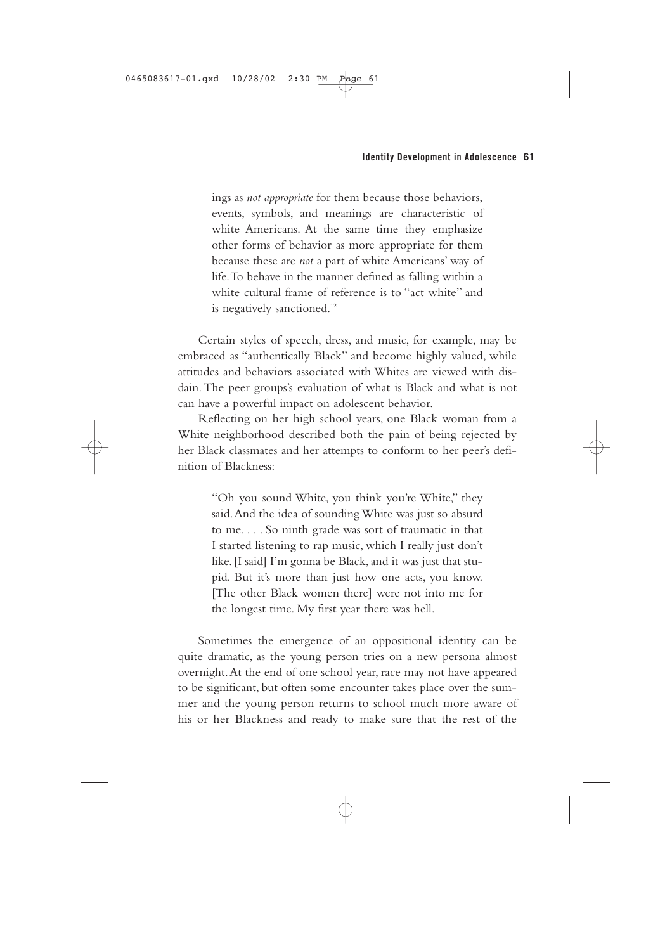#### **Identity Development in Adolescence 61**

ings as *not appropriate* for them because those behaviors, events, symbols, and meanings are characteristic of white Americans. At the same time they emphasize other forms of behavior as more appropriate for them because these are *not* a part of white Americans' way of life.To behave in the manner defined as falling within a white cultural frame of reference is to "act white" and is negatively sanctioned.<sup>12</sup>

Certain styles of speech, dress, and music, for example, may be embraced as "authentically Black" and become highly valued, while attitudes and behaviors associated with Whites are viewed with disdain.The peer groups's evaluation of what is Black and what is not can have a powerful impact on adolescent behavior.

Reflecting on her high school years, one Black woman from a White neighborhood described both the pain of being rejected by her Black classmates and her attempts to conform to her peer's definition of Blackness:

"Oh you sound White, you think you're White," they said.And the idea of sounding White was just so absurd to me. . . . So ninth grade was sort of traumatic in that I started listening to rap music, which I really just don't like. [I said] I'm gonna be Black, and it was just that stupid. But it's more than just how one acts, you know. [The other Black women there] were not into me for the longest time. My first year there was hell.

Sometimes the emergence of an oppositional identity can be quite dramatic, as the young person tries on a new persona almost overnight.At the end of one school year, race may not have appeared to be significant, but often some encounter takes place over the summer and the young person returns to school much more aware of his or her Blackness and ready to make sure that the rest of the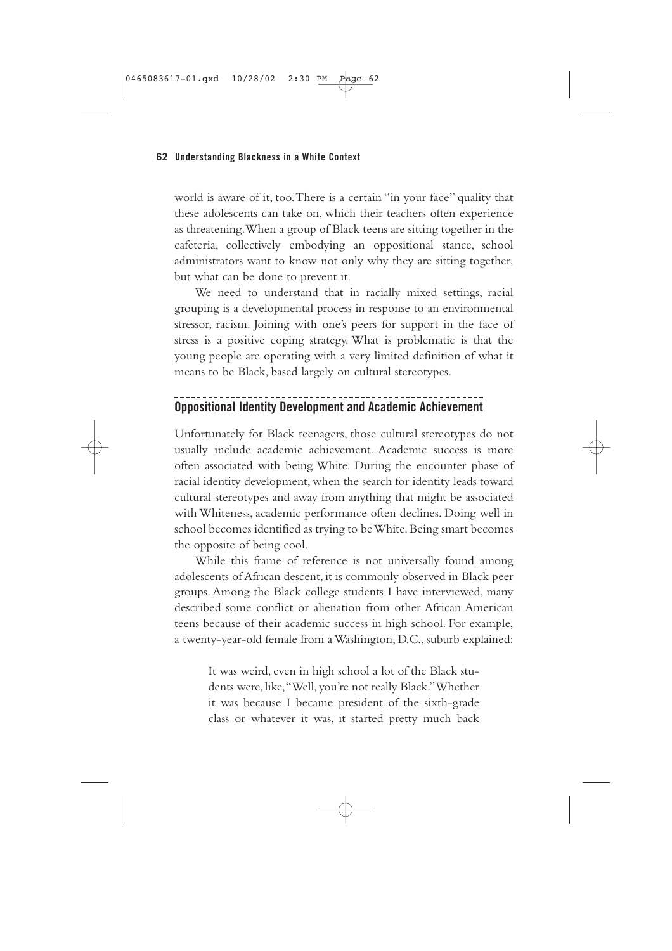world is aware of it, too.There is a certain "in your face" quality that these adolescents can take on, which their teachers often experience as threatening.When a group of Black teens are sitting together in the cafeteria, collectively embodying an oppositional stance, school administrators want to know not only why they are sitting together, but what can be done to prevent it.

We need to understand that in racially mixed settings, racial grouping is a developmental process in response to an environmental stressor, racism. Joining with one's peers for support in the face of stress is a positive coping strategy. What is problematic is that the young people are operating with a very limited definition of what it means to be Black, based largely on cultural stereotypes.

## **Oppositional Identity Development and Academic Achievement**

Unfortunately for Black teenagers, those cultural stereotypes do not usually include academic achievement. Academic success is more often associated with being White. During the encounter phase of racial identity development, when the search for identity leads toward cultural stereotypes and away from anything that might be associated with Whiteness, academic performance often declines. Doing well in school becomes identified as trying to be White. Being smart becomes the opposite of being cool.

While this frame of reference is not universally found among adolescents of African descent, it is commonly observed in Black peer groups. Among the Black college students I have interviewed, many described some conflict or alienation from other African American teens because of their academic success in high school. For example, a twenty-year-old female from a Washington, D.C., suburb explained:

> It was weird, even in high school a lot of the Black students were, like,"Well, you're not really Black."Whether it was because I became president of the sixth-grade class or whatever it was, it started pretty much back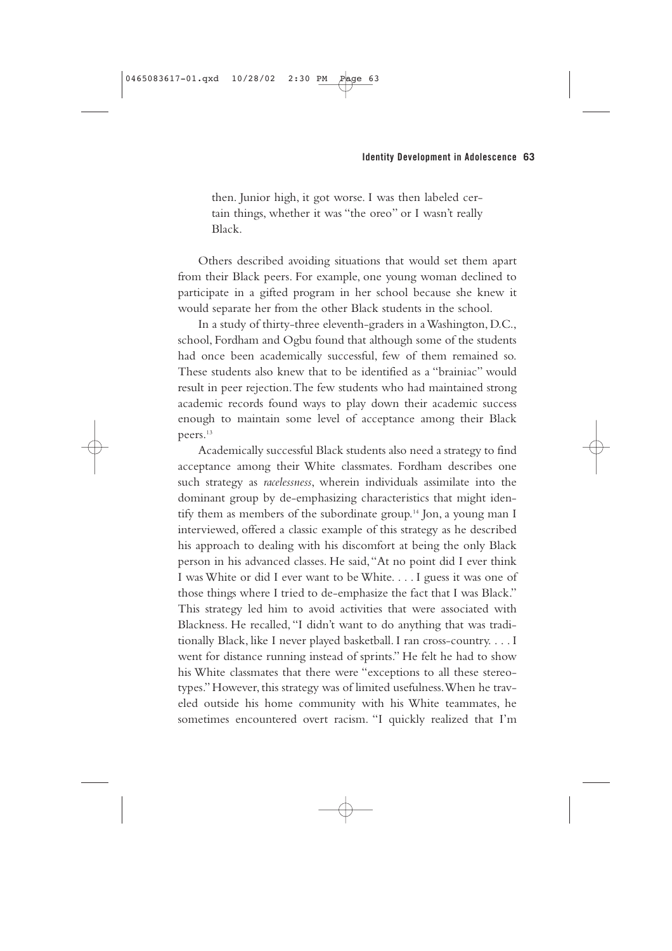#### **Identity Development in Adolescence 63**

then. Junior high, it got worse. I was then labeled certain things, whether it was "the oreo" or I wasn't really Black.

Others described avoiding situations that would set them apart from their Black peers. For example, one young woman declined to participate in a gifted program in her school because she knew it would separate her from the other Black students in the school.

In a study of thirty-three eleventh-graders in a Washington, D.C., school, Fordham and Ogbu found that although some of the students had once been academically successful, few of them remained so. These students also knew that to be identified as a "brainiac" would result in peer rejection.The few students who had maintained strong academic records found ways to play down their academic success enough to maintain some level of acceptance among their Black peers.<sup>13</sup>

Academically successful Black students also need a strategy to find acceptance among their White classmates. Fordham describes one such strategy as *racelessness*, wherein individuals assimilate into the dominant group by de-emphasizing characteristics that might identify them as members of the subordinate group.<sup>14</sup> Jon, a young man I interviewed, offered a classic example of this strategy as he described his approach to dealing with his discomfort at being the only Black person in his advanced classes. He said,"At no point did I ever think I was White or did I ever want to be White. . . . I guess it was one of those things where I tried to de-emphasize the fact that I was Black." This strategy led him to avoid activities that were associated with Blackness. He recalled, "I didn't want to do anything that was traditionally Black, like I never played basketball. I ran cross-country. . . . I went for distance running instead of sprints." He felt he had to show his White classmates that there were "exceptions to all these stereotypes." However, this strategy was of limited usefulness.When he traveled outside his home community with his White teammates, he sometimes encountered overt racism. "I quickly realized that I'm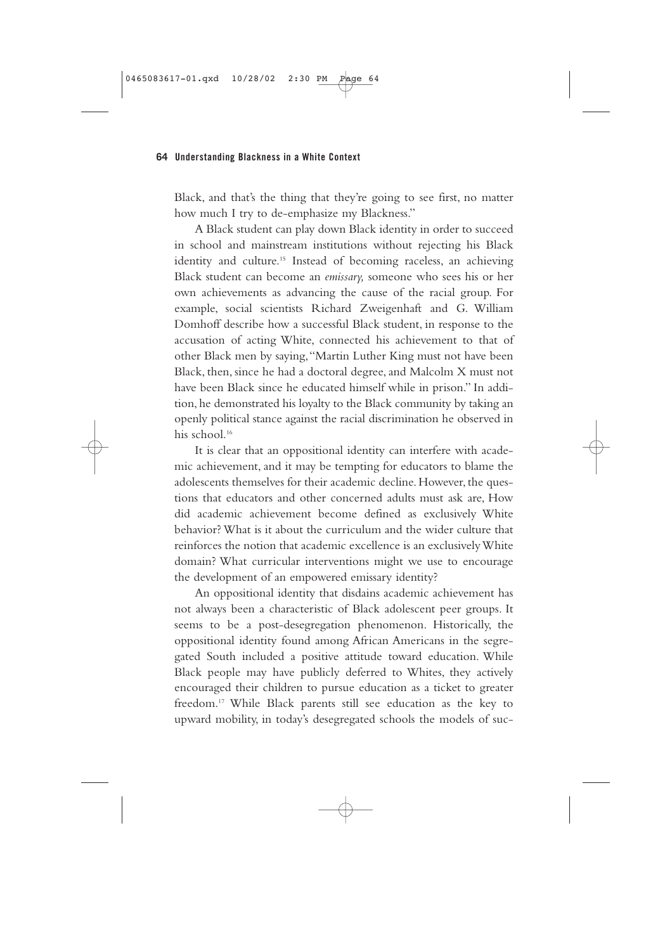Black, and that's the thing that they're going to see first, no matter how much I try to de-emphasize my Blackness."

A Black student can play down Black identity in order to succeed in school and mainstream institutions without rejecting his Black identity and culture.<sup>15</sup> Instead of becoming raceless, an achieving Black student can become an *emissary,* someone who sees his or her own achievements as advancing the cause of the racial group. For example, social scientists Richard Zweigenhaft and G. William Domhoff describe how a successful Black student, in response to the accusation of acting White, connected his achievement to that of other Black men by saying,"Martin Luther King must not have been Black, then, since he had a doctoral degree, and Malcolm X must not have been Black since he educated himself while in prison." In addition, he demonstrated his loyalty to the Black community by taking an openly political stance against the racial discrimination he observed in his school.<sup>16</sup>

It is clear that an oppositional identity can interfere with academic achievement, and it may be tempting for educators to blame the adolescents themselves for their academic decline. However, the questions that educators and other concerned adults must ask are, How did academic achievement become defined as exclusively White behavior? What is it about the curriculum and the wider culture that reinforces the notion that academic excellence is an exclusively White domain? What curricular interventions might we use to encourage the development of an empowered emissary identity?

An oppositional identity that disdains academic achievement has not always been a characteristic of Black adolescent peer groups. It seems to be a post-desegregation phenomenon. Historically, the oppositional identity found among African Americans in the segregated South included a positive attitude toward education. While Black people may have publicly deferred to Whites, they actively encouraged their children to pursue education as a ticket to greater freedom.<sup>17</sup> While Black parents still see education as the key to upward mobility, in today's desegregated schools the models of suc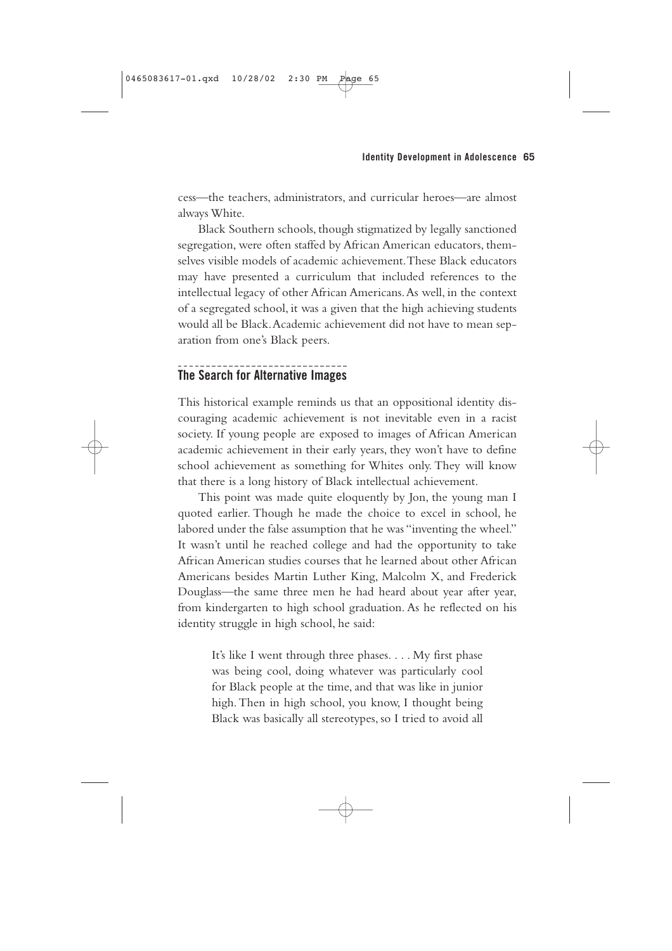0465083617-01.qxd 10/28/02 2:30 PM

#### **Identity Development in Adolescence 65**

cess—the teachers, administrators, and curricular heroes—are almost always White.

Black Southern schools, though stigmatized by legally sanctioned segregation, were often staffed by African American educators, themselves visible models of academic achievement.These Black educators may have presented a curriculum that included references to the intellectual legacy of other African Americans.As well, in the context of a segregated school, it was a given that the high achieving students would all be Black.Academic achievement did not have to mean separation from one's Black peers.

## **The Search for Alternative Images**

This historical example reminds us that an oppositional identity discouraging academic achievement is not inevitable even in a racist society. If young people are exposed to images of African American academic achievement in their early years, they won't have to define school achievement as something for Whites only. They will know that there is a long history of Black intellectual achievement.

This point was made quite eloquently by Jon, the young man I quoted earlier. Though he made the choice to excel in school, he labored under the false assumption that he was "inventing the wheel." It wasn't until he reached college and had the opportunity to take African American studies courses that he learned about other African Americans besides Martin Luther King, Malcolm X, and Frederick Douglass—the same three men he had heard about year after year, from kindergarten to high school graduation. As he reflected on his identity struggle in high school, he said:

It's like I went through three phases. . . . My first phase was being cool, doing whatever was particularly cool for Black people at the time, and that was like in junior high.Then in high school, you know, I thought being Black was basically all stereotypes, so I tried to avoid all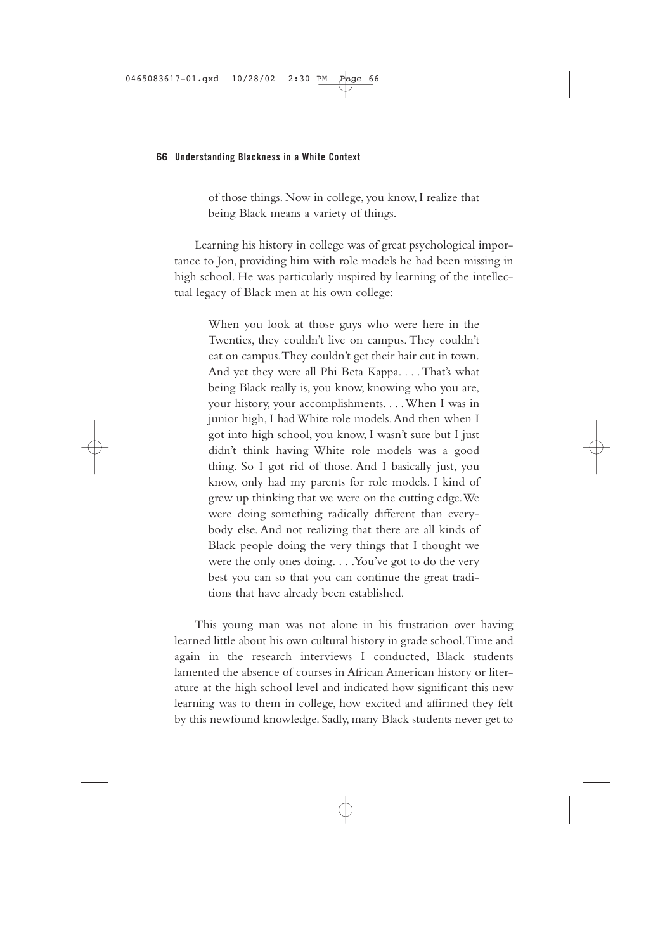of those things. Now in college, you know, I realize that being Black means a variety of things.

Learning his history in college was of great psychological importance to Jon, providing him with role models he had been missing in high school. He was particularly inspired by learning of the intellectual legacy of Black men at his own college:

When you look at those guys who were here in the Twenties, they couldn't live on campus. They couldn't eat on campus.They couldn't get their hair cut in town. And yet they were all Phi Beta Kappa. . . .That's what being Black really is, you know, knowing who you are, your history, your accomplishments. . . . When I was in junior high, I had White role models.And then when I got into high school, you know, I wasn't sure but I just didn't think having White role models was a good thing. So I got rid of those. And I basically just, you know, only had my parents for role models. I kind of grew up thinking that we were on the cutting edge.We were doing something radically different than everybody else. And not realizing that there are all kinds of Black people doing the very things that I thought we were the only ones doing. . . .You've got to do the very best you can so that you can continue the great traditions that have already been established.

This young man was not alone in his frustration over having learned little about his own cultural history in grade school.Time and again in the research interviews I conducted, Black students lamented the absence of courses in African American history or literature at the high school level and indicated how significant this new learning was to them in college, how excited and affirmed they felt by this newfound knowledge. Sadly, many Black students never get to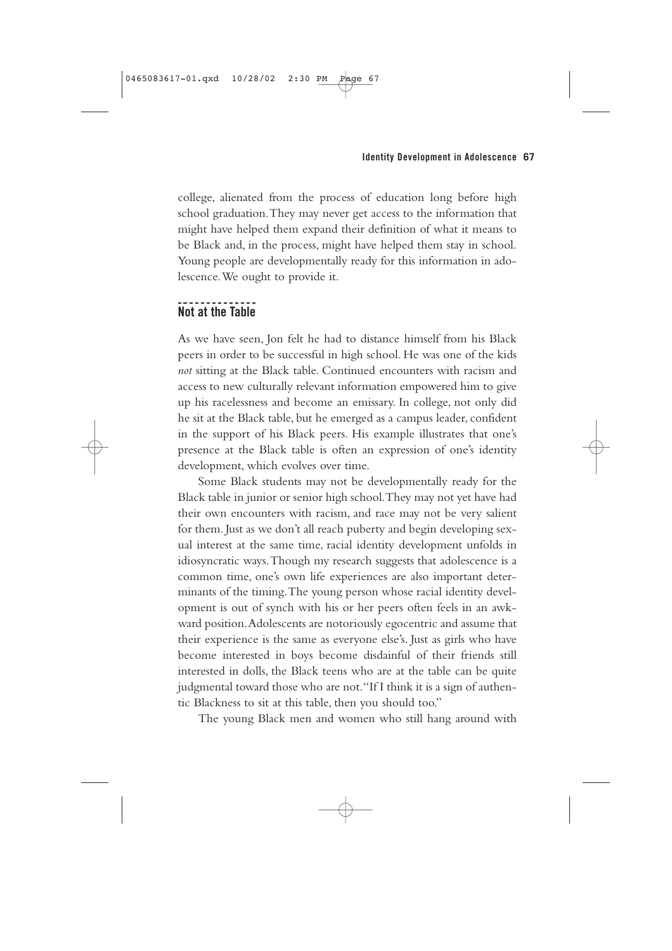#### **Identity Development in Adolescence 67**

college, alienated from the process of education long before high school graduation.They may never get access to the information that might have helped them expand their definition of what it means to be Black and, in the process, might have helped them stay in school. Young people are developmentally ready for this information in adolescence.We ought to provide it.

#### **Not at the Table**

As we have seen, Jon felt he had to distance himself from his Black peers in order to be successful in high school. He was one of the kids *not* sitting at the Black table. Continued encounters with racism and access to new culturally relevant information empowered him to give up his racelessness and become an emissary. In college, not only did he sit at the Black table, but he emerged as a campus leader, confident in the support of his Black peers. His example illustrates that one's presence at the Black table is often an expression of one's identity development, which evolves over time.

Some Black students may not be developmentally ready for the Black table in junior or senior high school.They may not yet have had their own encounters with racism, and race may not be very salient for them. Just as we don't all reach puberty and begin developing sexual interest at the same time, racial identity development unfolds in idiosyncratic ways.Though my research suggests that adolescence is a common time, one's own life experiences are also important determinants of the timing.The young person whose racial identity development is out of synch with his or her peers often feels in an awkward position.Adolescents are notoriously egocentric and assume that their experience is the same as everyone else's. Just as girls who have become interested in boys become disdainful of their friends still interested in dolls, the Black teens who are at the table can be quite judgmental toward those who are not."If I think it is a sign of authentic Blackness to sit at this table, then you should too."

The young Black men and women who still hang around with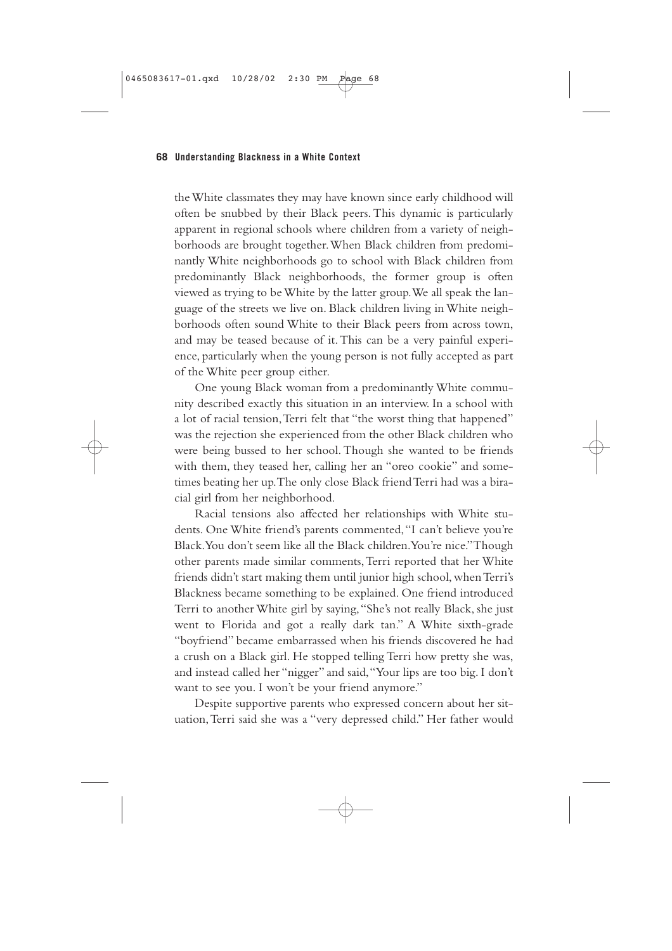the White classmates they may have known since early childhood will often be snubbed by their Black peers. This dynamic is particularly apparent in regional schools where children from a variety of neighborhoods are brought together.When Black children from predominantly White neighborhoods go to school with Black children from predominantly Black neighborhoods, the former group is often viewed as trying to be White by the latter group.We all speak the language of the streets we live on. Black children living in White neighborhoods often sound White to their Black peers from across town, and may be teased because of it. This can be a very painful experience, particularly when the young person is not fully accepted as part of the White peer group either.

One young Black woman from a predominantly White community described exactly this situation in an interview. In a school with a lot of racial tension, Terri felt that "the worst thing that happened" was the rejection she experienced from the other Black children who were being bussed to her school. Though she wanted to be friends with them, they teased her, calling her an "oreo cookie" and sometimes beating her up.The only close Black friend Terri had was a biracial girl from her neighborhood.

Racial tensions also affected her relationships with White students. One White friend's parents commented,"I can't believe you're Black.You don't seem like all the Black children.You're nice."Though other parents made similar comments,Terri reported that her White friends didn't start making them until junior high school, when Terri's Blackness became something to be explained. One friend introduced Terri to another White girl by saying,"She's not really Black, she just went to Florida and got a really dark tan." A White sixth-grade "boyfriend" became embarrassed when his friends discovered he had a crush on a Black girl. He stopped telling Terri how pretty she was, and instead called her "nigger" and said,"Your lips are too big. I don't want to see you. I won't be your friend anymore."

Despite supportive parents who expressed concern about her situation,Terri said she was a "very depressed child." Her father would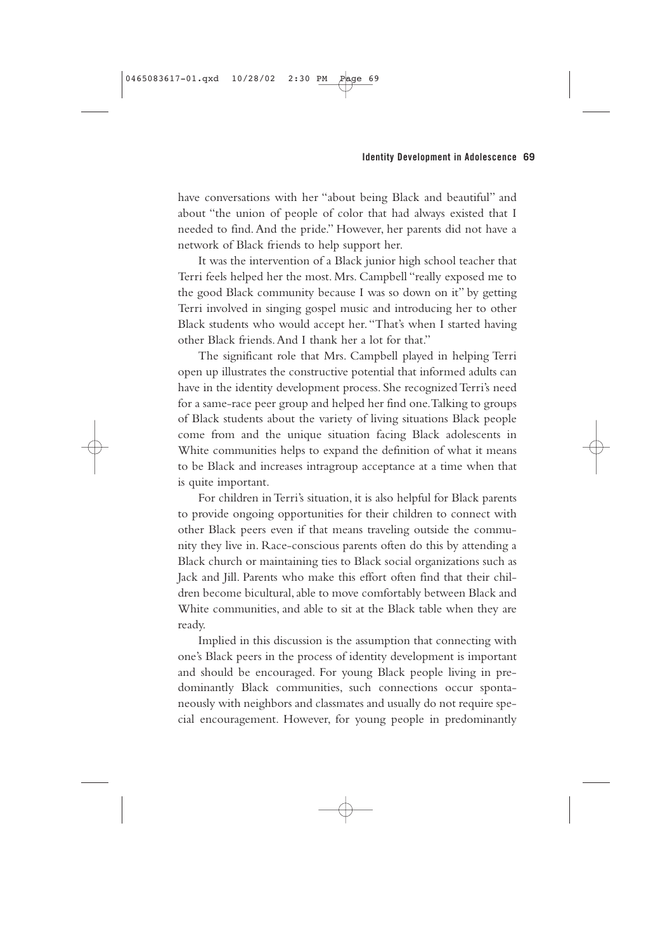0465083617-01.qxd 10/28/02 2:30

#### **Identity Development in Adolescence 69**

have conversations with her "about being Black and beautiful" and about "the union of people of color that had always existed that I needed to find. And the pride." However, her parents did not have a network of Black friends to help support her.

It was the intervention of a Black junior high school teacher that Terri feels helped her the most. Mrs. Campbell "really exposed me to the good Black community because I was so down on it" by getting Terri involved in singing gospel music and introducing her to other Black students who would accept her."That's when I started having other Black friends.And I thank her a lot for that."

The significant role that Mrs. Campbell played in helping Terri open up illustrates the constructive potential that informed adults can have in the identity development process. She recognized Terri's need for a same-race peer group and helped her find one.Talking to groups of Black students about the variety of living situations Black people come from and the unique situation facing Black adolescents in White communities helps to expand the definition of what it means to be Black and increases intragroup acceptance at a time when that is quite important.

For children in Terri's situation, it is also helpful for Black parents to provide ongoing opportunities for their children to connect with other Black peers even if that means traveling outside the community they live in. Race-conscious parents often do this by attending a Black church or maintaining ties to Black social organizations such as Jack and Jill. Parents who make this effort often find that their children become bicultural, able to move comfortably between Black and White communities, and able to sit at the Black table when they are ready.

Implied in this discussion is the assumption that connecting with one's Black peers in the process of identity development is important and should be encouraged. For young Black people living in predominantly Black communities, such connections occur spontaneously with neighbors and classmates and usually do not require special encouragement. However, for young people in predominantly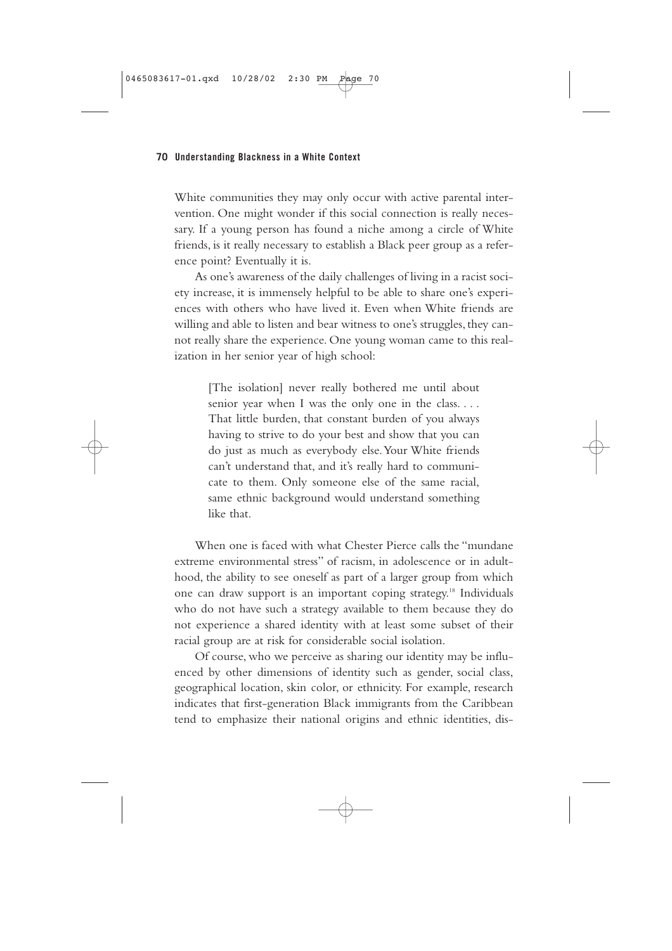White communities they may only occur with active parental intervention. One might wonder if this social connection is really necessary. If a young person has found a niche among a circle of White friends, is it really necessary to establish a Black peer group as a reference point? Eventually it is.

As one's awareness of the daily challenges of living in a racist society increase, it is immensely helpful to be able to share one's experiences with others who have lived it. Even when White friends are willing and able to listen and bear witness to one's struggles, they cannot really share the experience. One young woman came to this realization in her senior year of high school:

[The isolation] never really bothered me until about senior year when I was the only one in the class. . . . That little burden, that constant burden of you always having to strive to do your best and show that you can do just as much as everybody else.Your White friends can't understand that, and it's really hard to communicate to them. Only someone else of the same racial, same ethnic background would understand something like that.

When one is faced with what Chester Pierce calls the "mundane extreme environmental stress" of racism, in adolescence or in adulthood, the ability to see oneself as part of a larger group from which one can draw support is an important coping strategy.<sup>18</sup> Individuals who do not have such a strategy available to them because they do not experience a shared identity with at least some subset of their racial group are at risk for considerable social isolation.

Of course, who we perceive as sharing our identity may be influenced by other dimensions of identity such as gender, social class, geographical location, skin color, or ethnicity. For example, research indicates that first-generation Black immigrants from the Caribbean tend to emphasize their national origins and ethnic identities, dis-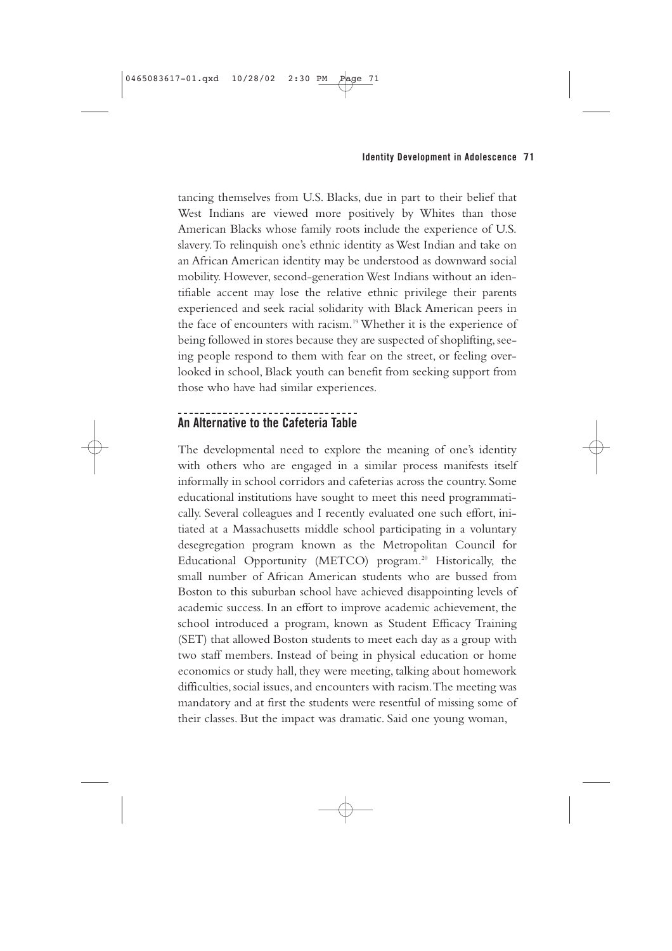#### **Identity Development in Adolescence 71**

tancing themselves from U.S. Blacks, due in part to their belief that West Indians are viewed more positively by Whites than those American Blacks whose family roots include the experience of U.S. slavery.To relinquish one's ethnic identity as West Indian and take on an African American identity may be understood as downward social mobility. However, second-generation West Indians without an identifiable accent may lose the relative ethnic privilege their parents experienced and seek racial solidarity with Black American peers in the face of encounters with racism.<sup>19</sup> Whether it is the experience of being followed in stores because they are suspected of shoplifting, seeing people respond to them with fear on the street, or feeling overlooked in school, Black youth can benefit from seeking support from those who have had similar experiences.

## **An Alternative to the Cafeteria Table**

The developmental need to explore the meaning of one's identity with others who are engaged in a similar process manifests itself informally in school corridors and cafeterias across the country. Some educational institutions have sought to meet this need programmatically. Several colleagues and I recently evaluated one such effort, initiated at a Massachusetts middle school participating in a voluntary desegregation program known as the Metropolitan Council for Educational Opportunity (METCO) program.<sup>20</sup> Historically, the small number of African American students who are bussed from Boston to this suburban school have achieved disappointing levels of academic success. In an effort to improve academic achievement, the school introduced a program, known as Student Efficacy Training (SET) that allowed Boston students to meet each day as a group with two staff members. Instead of being in physical education or home economics or study hall, they were meeting, talking about homework difficulties, social issues, and encounters with racism.The meeting was mandatory and at first the students were resentful of missing some of their classes. But the impact was dramatic. Said one young woman,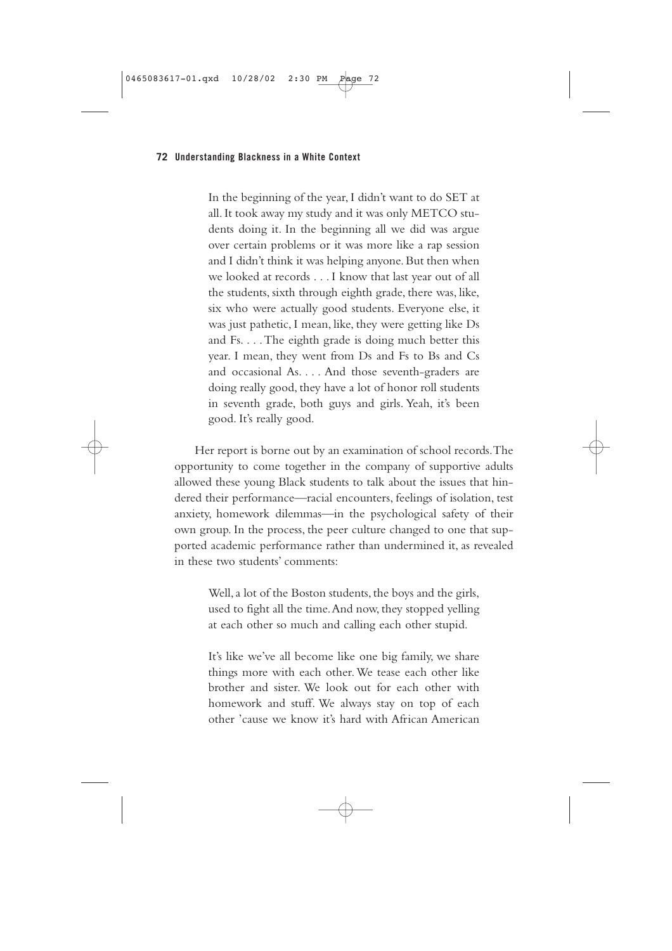In the beginning of the year, I didn't want to do SET at all. It took away my study and it was only METCO students doing it. In the beginning all we did was argue over certain problems or it was more like a rap session and I didn't think it was helping anyone. But then when we looked at records . . . I know that last year out of all the students, sixth through eighth grade, there was, like, six who were actually good students. Everyone else, it was just pathetic, I mean, like, they were getting like Ds and Fs. . . .The eighth grade is doing much better this year. I mean, they went from Ds and Fs to Bs and Cs and occasional As. . . . And those seventh-graders are doing really good, they have a lot of honor roll students in seventh grade, both guys and girls. Yeah, it's been good. It's really good.

Her report is borne out by an examination of school records.The opportunity to come together in the company of supportive adults allowed these young Black students to talk about the issues that hindered their performance—racial encounters, feelings of isolation, test anxiety, homework dilemmas—in the psychological safety of their own group. In the process, the peer culture changed to one that supported academic performance rather than undermined it, as revealed in these two students' comments:

Well, a lot of the Boston students, the boys and the girls, used to fight all the time.And now, they stopped yelling at each other so much and calling each other stupid.

It's like we've all become like one big family, we share things more with each other.We tease each other like brother and sister. We look out for each other with homework and stuff. We always stay on top of each other 'cause we know it's hard with African American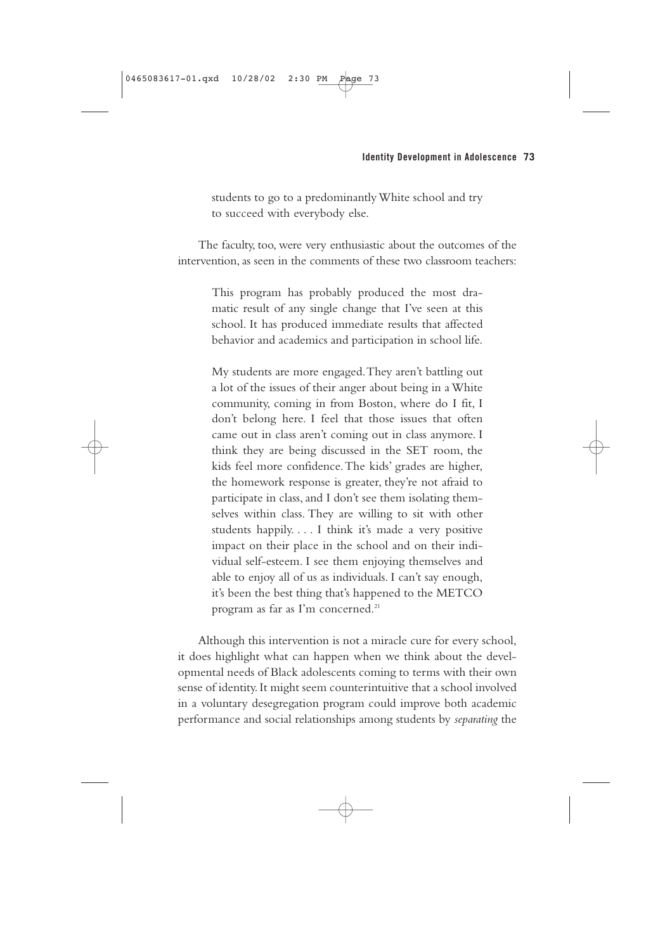0465083617-01.qxd 10/28/02 2:30 PM

#### **Identity Development in Adolescence 73**

students to go to a predominantly White school and try to succeed with everybody else.

The faculty, too, were very enthusiastic about the outcomes of the intervention, as seen in the comments of these two classroom teachers:

> This program has probably produced the most dramatic result of any single change that I've seen at this school. It has produced immediate results that affected behavior and academics and participation in school life.

> My students are more engaged.They aren't battling out a lot of the issues of their anger about being in a White community, coming in from Boston, where do I fit, I don't belong here. I feel that those issues that often came out in class aren't coming out in class anymore. I think they are being discussed in the SET room, the kids feel more confidence.The kids' grades are higher, the homework response is greater, they're not afraid to participate in class, and I don't see them isolating themselves within class. They are willing to sit with other students happily. . . . I think it's made a very positive impact on their place in the school and on their individual self-esteem. I see them enjoying themselves and able to enjoy all of us as individuals. I can't say enough, it's been the best thing that's happened to the METCO program as far as I'm concerned.<sup>21</sup>

Although this intervention is not a miracle cure for every school, it does highlight what can happen when we think about the developmental needs of Black adolescents coming to terms with their own sense of identity.It might seem counterintuitive that a school involved in a voluntary desegregation program could improve both academic performance and social relationships among students by *separating* the